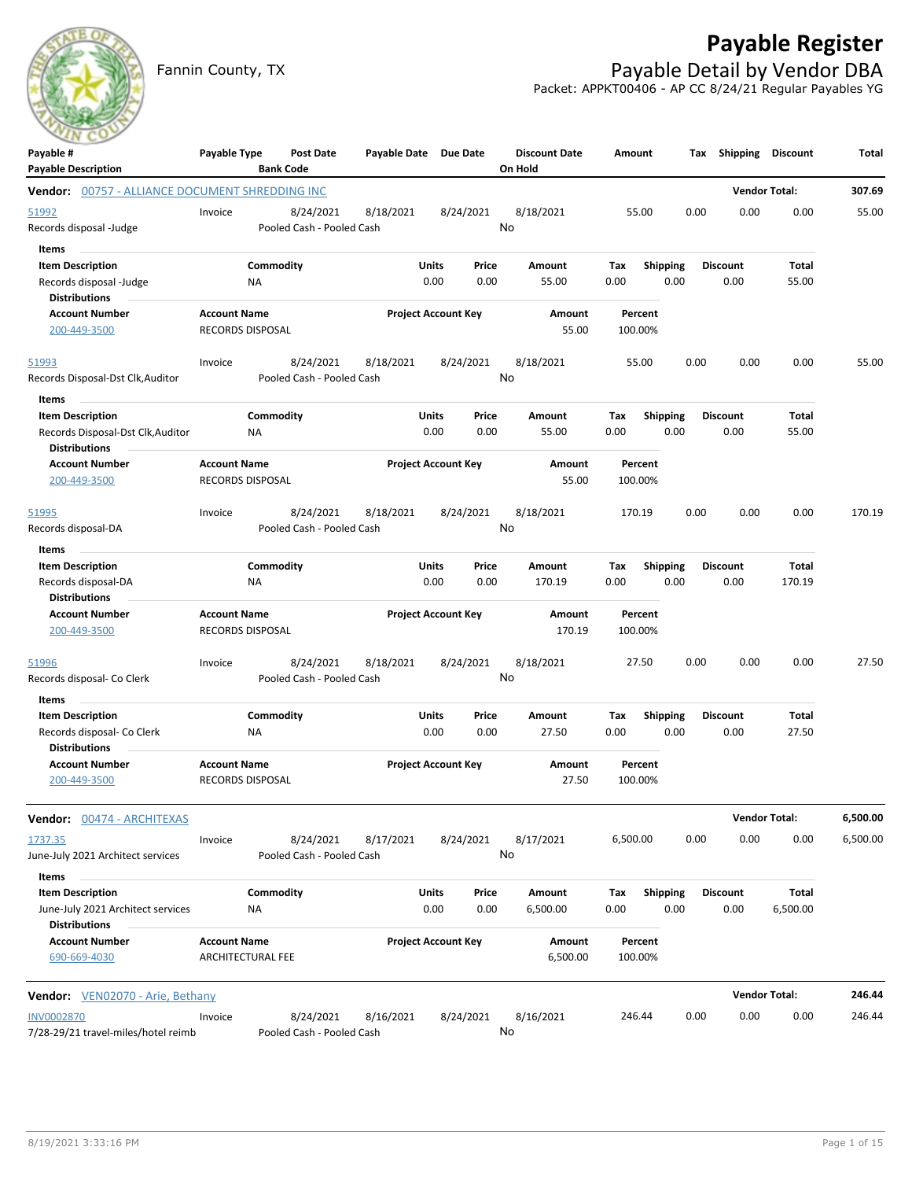

## **Payable Register**

Fannin County, TX **Payable Detail by Vendor DBA** Packet: APPKT00406 - AP CC 8/24/21 Regular Payables YG

| $\sim$<br>Payable #<br><b>Payable Description</b>                                    | Payable Type                                   | <b>Post Date</b><br><b>Bank Code</b>   | Payable Date Due Date |               |                            | <b>Discount Date</b><br>On Hold | Amount             |                         |      | Tax Shipping Discount   |                 | Total    |
|--------------------------------------------------------------------------------------|------------------------------------------------|----------------------------------------|-----------------------|---------------|----------------------------|---------------------------------|--------------------|-------------------------|------|-------------------------|-----------------|----------|
| Vendor: 00757 - ALLIANCE DOCUMENT SHREDDING INC                                      |                                                |                                        |                       |               |                            |                                 |                    |                         |      | <b>Vendor Total:</b>    |                 | 307.69   |
| 51992<br>Records disposal -Judge                                                     | Invoice                                        | 8/24/2021<br>Pooled Cash - Pooled Cash | 8/18/2021             |               | 8/24/2021                  | 8/18/2021<br>No                 | 55.00              |                         | 0.00 | 0.00                    | 0.00            | 55.00    |
| Items<br><b>Item Description</b><br>Records disposal -Judge<br><b>Distributions</b>  | ΝA                                             | Commodity                              |                       | Units<br>0.00 | Price<br>0.00              | Amount<br>55.00                 | Тах<br>0.00        | <b>Shipping</b><br>0.00 |      | <b>Discount</b><br>0.00 | Total<br>55.00  |          |
| <b>Account Number</b><br>200-449-3500                                                | <b>Account Name</b><br><b>RECORDS DISPOSAL</b> |                                        |                       |               | <b>Project Account Key</b> | Amount<br>55.00                 | Percent<br>100.00% |                         |      |                         |                 |          |
| 51993<br>Records Disposal-Dst Clk, Auditor<br>Items                                  | Invoice                                        | 8/24/2021<br>Pooled Cash - Pooled Cash | 8/18/2021             |               | 8/24/2021                  | 8/18/2021<br>No                 | 55.00              |                         | 0.00 | 0.00                    | 0.00            | 55.00    |
| <b>Item Description</b><br>Records Disposal-Dst Clk, Auditor<br><b>Distributions</b> | ΝA                                             | Commodity                              |                       | Units<br>0.00 | Price<br>0.00              | Amount<br>55.00                 | Tax<br>0.00        | <b>Shipping</b><br>0.00 |      | <b>Discount</b><br>0.00 | Total<br>55.00  |          |
| <b>Account Number</b><br>200-449-3500                                                | <b>Account Name</b><br><b>RECORDS DISPOSAL</b> |                                        |                       |               | <b>Project Account Key</b> | Amount<br>55.00                 | Percent<br>100.00% |                         |      |                         |                 |          |
| 51995<br>Records disposal-DA                                                         | Invoice                                        | 8/24/2021<br>Pooled Cash - Pooled Cash | 8/18/2021             |               | 8/24/2021                  | 8/18/2021<br>No                 | 170.19             |                         | 0.00 | 0.00                    | 0.00            | 170.19   |
| Items<br><b>Item Description</b><br>Records disposal-DA<br><b>Distributions</b>      | ΝA                                             | Commodity                              |                       | Units<br>0.00 | Price<br>0.00              | Amount<br>170.19                | Tax<br>0.00        | Shipping<br>0.00        |      | <b>Discount</b><br>0.00 | Total<br>170.19 |          |
| <b>Account Number</b><br>200-449-3500                                                | <b>Account Name</b><br><b>RECORDS DISPOSAL</b> |                                        |                       |               | <b>Project Account Key</b> | Amount<br>170.19                | Percent<br>100.00% |                         |      |                         |                 |          |
| 51996<br>Records disposal- Co Clerk<br>Items                                         | Invoice                                        | 8/24/2021<br>Pooled Cash - Pooled Cash | 8/18/2021             |               | 8/24/2021                  | 8/18/2021<br>No                 | 27.50              |                         | 0.00 | 0.00                    | 0.00            | 27.50    |
| <b>Item Description</b><br>Records disposal- Co Clerk<br><b>Distributions</b>        | ΝA                                             | Commodity                              |                       | Units<br>0.00 | Price<br>0.00              | Amount<br>27.50                 | Tax<br>0.00        | <b>Shipping</b><br>0.00 |      | Discount<br>0.00        | Total<br>27.50  |          |
| <b>Account Number</b><br>200-449-3500                                                | <b>Account Name</b><br><b>RECORDS DISPOSAL</b> |                                        |                       |               | <b>Project Account Key</b> | Amount<br>27.50                 | Percent<br>100.00% |                         |      |                         |                 |          |
| Vendor: 00474 - ARCHITEXAS                                                           |                                                |                                        |                       |               |                            |                                 |                    |                         |      | <b>Vendor Total:</b>    |                 | 6,500.00 |
| 1737.35<br>June-July 2021 Architect services                                         | Invoice                                        | 8/24/2021<br>Pooled Cash - Pooled Cash | 8/17/2021             |               | 8/24/2021                  | 8/17/2021<br>No                 | 6,500.00           |                         | 0.00 | 0.00                    | 0.00            | 6,500.00 |
| Items<br><b>Item Description</b>                                                     |                                                | Commodity                              |                       | Units         | Price                      | Amount                          | Tax                | <b>Shipping</b>         |      | <b>Discount</b>         | Total           |          |
| June-July 2021 Architect services<br><b>Distributions</b>                            | <b>NA</b>                                      |                                        |                       | 0.00          | 0.00                       | 6,500.00                        | 0.00               | 0.00                    |      | 0.00                    | 6,500.00        |          |
| <b>Account Number</b><br>690-669-4030                                                | <b>Account Name</b><br>ARCHITECTURAL FEE       |                                        |                       |               | <b>Project Account Key</b> | Amount<br>6,500.00              | Percent<br>100.00% |                         |      |                         |                 |          |
| Vendor: VEN02070 - Arie, Bethany                                                     |                                                |                                        |                       |               |                            |                                 |                    |                         |      | <b>Vendor Total:</b>    |                 | 246.44   |
| <b>INV0002870</b><br>7/28-29/21 travel-miles/hotel reimb                             | Invoice                                        | 8/24/2021<br>Pooled Cash - Pooled Cash | 8/16/2021             |               | 8/24/2021                  | 8/16/2021<br>No                 | 246.44             |                         | 0.00 | 0.00                    | 0.00            | 246.44   |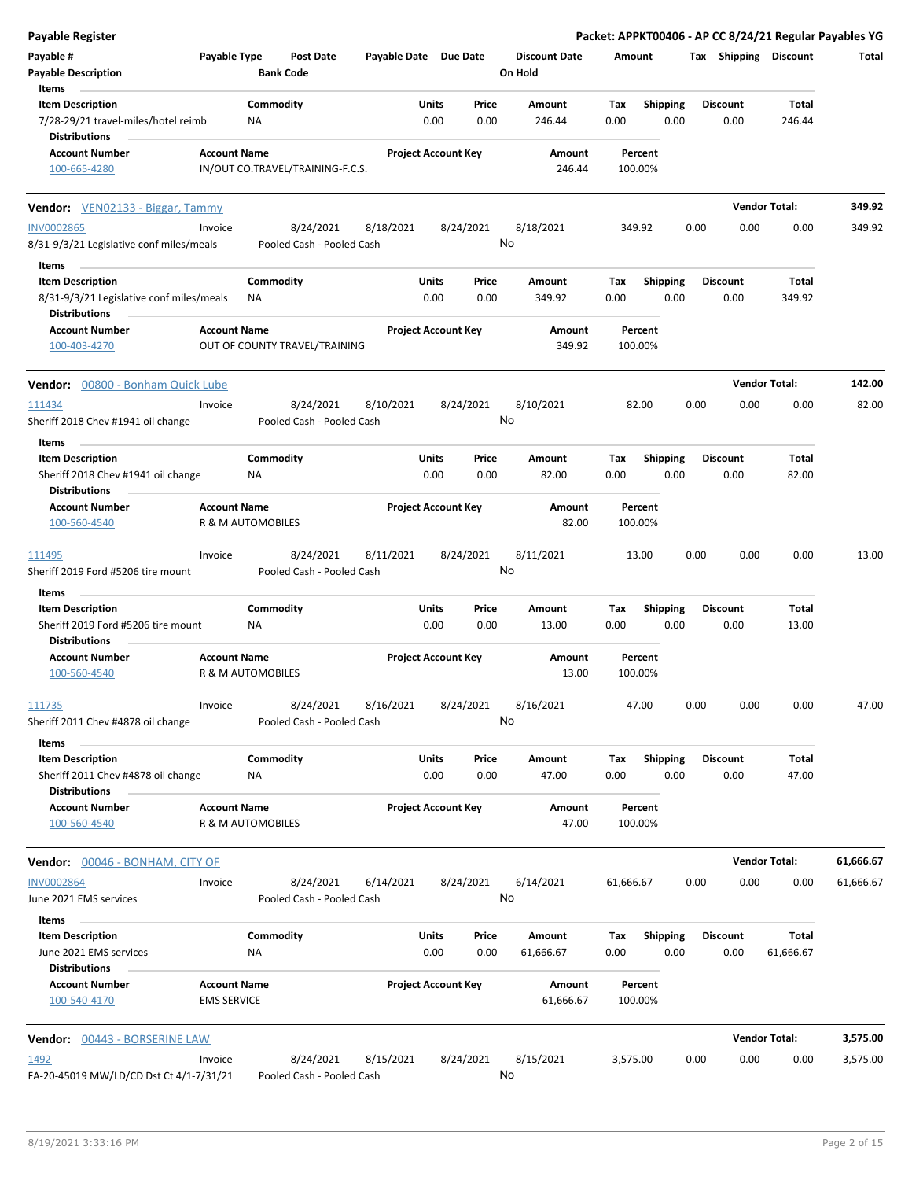| <b>Payable Register</b>                                                   |                                           |                                  |                                        |                       |                            |                 |                                 |             |                         |      |                       |                      | Packet: APPKT00406 - AP CC 8/24/21 Regular Payables YG |
|---------------------------------------------------------------------------|-------------------------------------------|----------------------------------|----------------------------------------|-----------------------|----------------------------|-----------------|---------------------------------|-------------|-------------------------|------|-----------------------|----------------------|--------------------------------------------------------|
| Payable #<br><b>Payable Description</b>                                   | Payable Type                              | <b>Bank Code</b>                 | <b>Post Date</b>                       | Payable Date Due Date |                            |                 | <b>Discount Date</b><br>On Hold | Amount      |                         |      | Tax Shipping Discount |                      | Total                                                  |
| Items<br><b>Item Description</b>                                          |                                           | Commodity                        |                                        |                       | Units                      | Price           | Amount                          | Tax         | <b>Shipping</b>         |      | <b>Discount</b>       | Total                |                                                        |
| 7/28-29/21 travel-miles/hotel reimb<br><b>Distributions</b>               |                                           | NA                               |                                        |                       | 0.00                       | 0.00            | 246.44                          | 0.00        | 0.00                    |      | 0.00                  | 246.44               |                                                        |
| <b>Account Number</b>                                                     | <b>Account Name</b>                       |                                  |                                        |                       | <b>Project Account Key</b> |                 | Amount                          |             | Percent                 |      |                       |                      |                                                        |
| 100-665-4280                                                              |                                           | IN/OUT CO.TRAVEL/TRAINING-F.C.S. |                                        |                       |                            |                 | 246.44                          |             | 100.00%                 |      |                       |                      |                                                        |
| Vendor: VEN02133 - Biggar, Tammy                                          |                                           |                                  |                                        |                       |                            |                 |                                 |             |                         |      |                       | <b>Vendor Total:</b> | 349.92                                                 |
| <b>INV0002865</b><br>8/31-9/3/21 Legislative conf miles/meals             | Invoice                                   |                                  | 8/24/2021<br>Pooled Cash - Pooled Cash | 8/18/2021             |                            | 8/24/2021<br>No | 8/18/2021                       |             | 349.92                  | 0.00 | 0.00                  | 0.00                 | 349.92                                                 |
| Items<br><b>Item Description</b>                                          |                                           | Commodity                        |                                        |                       | Units                      | Price           | Amount                          | Tax         | <b>Shipping</b>         |      | <b>Discount</b>       | Total                |                                                        |
| 8/31-9/3/21 Legislative conf miles/meals<br><b>Distributions</b>          |                                           | ΝA                               |                                        |                       | 0.00                       | 0.00            | 349.92                          | 0.00        | 0.00                    |      | 0.00                  | 349.92               |                                                        |
| <b>Account Number</b><br>100-403-4270                                     | <b>Account Name</b>                       | OUT OF COUNTY TRAVEL/TRAINING    |                                        |                       | <b>Project Account Key</b> |                 | Amount<br>349.92                |             | Percent<br>100.00%      |      |                       |                      |                                                        |
| Vendor: 00800 - Bonham Quick Lube                                         |                                           |                                  |                                        |                       |                            |                 |                                 |             |                         |      |                       | <b>Vendor Total:</b> | 142.00                                                 |
| 111434<br>Sheriff 2018 Chev #1941 oil change                              | Invoice                                   |                                  | 8/24/2021<br>Pooled Cash - Pooled Cash | 8/10/2021             |                            | 8/24/2021<br>No | 8/10/2021                       |             | 82.00                   | 0.00 | 0.00                  | 0.00                 | 82.00                                                  |
| Items<br><b>Item Description</b>                                          |                                           | Commodity                        |                                        |                       | Units                      | Price           | Amount                          | Tax         | <b>Shipping</b>         |      | <b>Discount</b>       | Total                |                                                        |
| Sheriff 2018 Chev #1941 oil change<br><b>Distributions</b>                |                                           | <b>NA</b>                        |                                        |                       | 0.00                       | 0.00            | 82.00                           | 0.00        | 0.00                    |      | 0.00                  | 82.00                |                                                        |
| <b>Account Number</b><br>100-560-4540                                     | <b>Account Name</b>                       | R & M AUTOMOBILES                |                                        |                       | <b>Project Account Key</b> |                 | Amount<br>82.00                 |             | Percent<br>100.00%      |      |                       |                      |                                                        |
| 111495                                                                    | Invoice                                   |                                  | 8/24/2021                              | 8/11/2021             |                            | 8/24/2021       | 8/11/2021                       |             | 13.00                   | 0.00 | 0.00                  | 0.00                 | 13.00                                                  |
| Sheriff 2019 Ford #5206 tire mount                                        |                                           |                                  | Pooled Cash - Pooled Cash              |                       |                            | No              |                                 |             |                         |      |                       |                      |                                                        |
| Items<br><b>Item Description</b>                                          |                                           | Commodity                        |                                        |                       | Units                      | Price           | Amount                          | Tax         | <b>Shipping</b>         |      | <b>Discount</b>       | <b>Total</b>         |                                                        |
| Sheriff 2019 Ford #5206 tire mount<br><b>Distributions</b>                |                                           | <b>NA</b>                        |                                        |                       | 0.00                       | 0.00            | 13.00                           | 0.00        | 0.00                    |      | 0.00                  | 13.00                |                                                        |
| <b>Account Number</b><br>100-560-4540                                     | <b>Account Name</b>                       | R & M AUTOMOBILES                |                                        |                       | <b>Project Account Key</b> |                 | Amount<br>13.00                 |             | Percent<br>100.00%      |      |                       |                      |                                                        |
| 111735<br>Sheriff 2011 Chev #4878 oil change                              | Invoice                                   |                                  | 8/24/2021<br>Pooled Cash - Pooled Cash | 8/16/2021             |                            | 8/24/2021<br>No | 8/16/2021                       |             | 47.00                   | 0.00 | 0.00                  | 0.00                 | 47.00                                                  |
| Items<br><b>Item Description</b>                                          |                                           | Commodity                        |                                        |                       | Units                      | Price           | Amount                          | Tax         | Shipping                |      | <b>Discount</b>       | Total                |                                                        |
| Sheriff 2011 Chev #4878 oil change<br><b>Distributions</b>                |                                           | NA                               |                                        |                       | 0.00                       | 0.00            | 47.00                           | 0.00        | 0.00                    |      | 0.00                  | 47.00                |                                                        |
| <b>Account Number</b><br>100-560-4540                                     | <b>Account Name</b>                       | R & M AUTOMOBILES                |                                        |                       | <b>Project Account Key</b> |                 | Amount<br>47.00                 |             | Percent<br>100.00%      |      |                       |                      |                                                        |
| Vendor: 00046 - BONHAM, CITY OF                                           |                                           |                                  |                                        |                       |                            |                 |                                 |             |                         |      |                       | <b>Vendor Total:</b> | 61,666.67                                              |
| <b>INV0002864</b><br>June 2021 EMS services                               | Invoice                                   |                                  | 8/24/2021<br>Pooled Cash - Pooled Cash | 6/14/2021             |                            | 8/24/2021<br>No | 6/14/2021                       | 61,666.67   |                         | 0.00 | 0.00                  | 0.00                 | 61,666.67                                              |
| Items                                                                     |                                           |                                  |                                        |                       |                            |                 |                                 |             |                         |      |                       |                      |                                                        |
| <b>Item Description</b><br>June 2021 EMS services<br><b>Distributions</b> |                                           | Commodity<br>NA                  |                                        |                       | Units<br>0.00              | Price<br>0.00   | Amount<br>61,666.67             | Тах<br>0.00 | <b>Shipping</b><br>0.00 |      | Discount<br>0.00      | Total<br>61,666.67   |                                                        |
| <b>Account Number</b><br>100-540-4170                                     | <b>Account Name</b><br><b>EMS SERVICE</b> |                                  |                                        |                       | <b>Project Account Key</b> |                 | Amount<br>61,666.67             |             | Percent<br>100.00%      |      |                       |                      |                                                        |
| Vendor: 00443 - BORSERINE LAW                                             |                                           |                                  |                                        |                       |                            |                 |                                 |             |                         |      |                       | <b>Vendor Total:</b> | 3,575.00                                               |
| 1492                                                                      | Invoice                                   |                                  | 8/24/2021                              | 8/15/2021             |                            | 8/24/2021       | 8/15/2021                       | 3,575.00    |                         | 0.00 | 0.00                  | 0.00                 | 3,575.00                                               |
| FA-20-45019 MW/LD/CD Dst Ct 4/1-7/31/21                                   |                                           |                                  | Pooled Cash - Pooled Cash              |                       |                            | No              |                                 |             |                         |      |                       |                      |                                                        |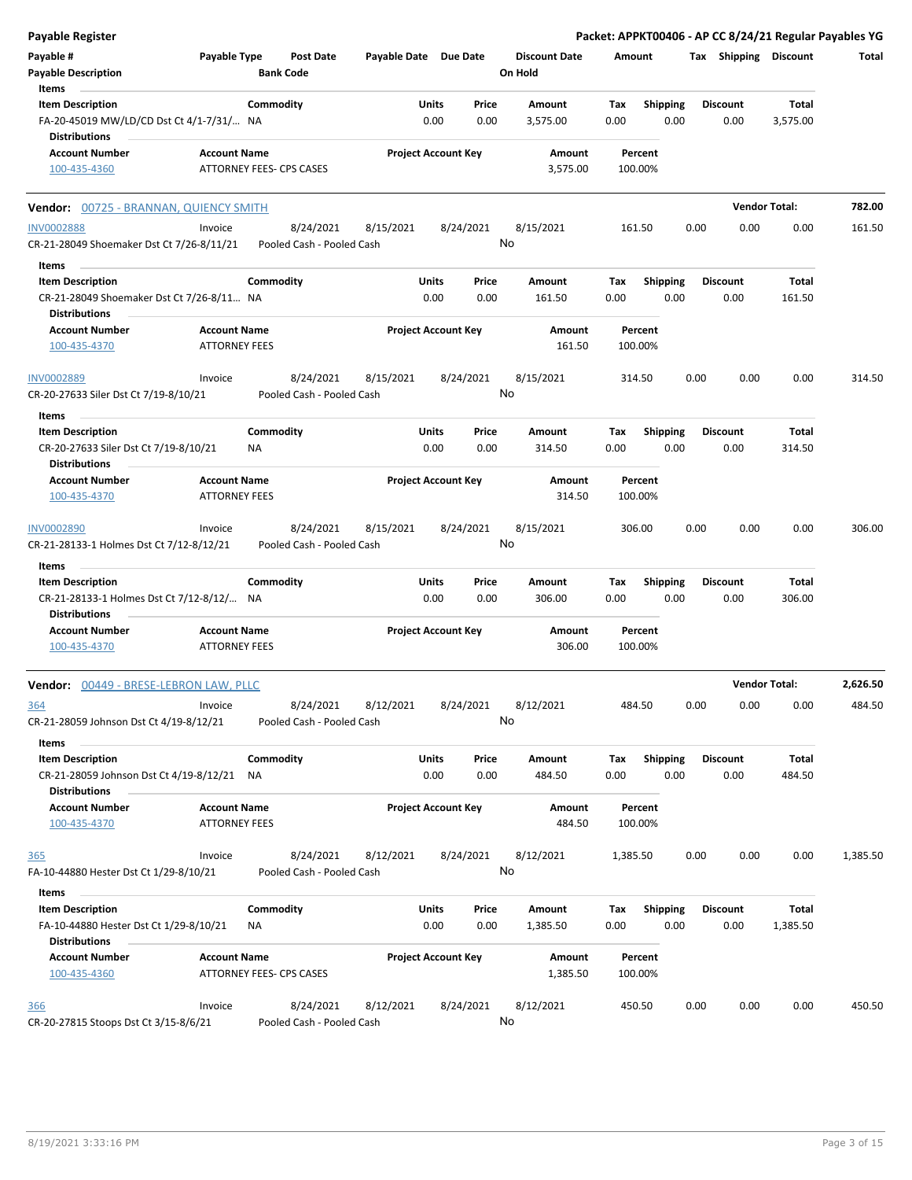| <b>Payable Register</b>                                                                      |                                             |                                        |                       |                                |                                 |                    |                         |      |                         |                      | Packet: APPKT00406 - AP CC 8/24/21 Regular Payables YG |
|----------------------------------------------------------------------------------------------|---------------------------------------------|----------------------------------------|-----------------------|--------------------------------|---------------------------------|--------------------|-------------------------|------|-------------------------|----------------------|--------------------------------------------------------|
| Payable #<br><b>Payable Description</b>                                                      | <b>Payable Type</b>                         | <b>Post Date</b><br><b>Bank Code</b>   | Payable Date Due Date |                                | <b>Discount Date</b><br>On Hold | Amount             |                         |      | Tax Shipping Discount   |                      | Total                                                  |
| Items<br><b>Item Description</b>                                                             |                                             | Commodity                              |                       | Units<br>Price                 | Amount                          | Tax                | <b>Shipping</b>         |      | <b>Discount</b>         | Total                |                                                        |
| FA-20-45019 MW/LD/CD Dst Ct 4/1-7/31/ NA<br><b>Distributions</b>                             |                                             |                                        |                       | 0.00<br>0.00                   | 3,575.00                        | 0.00               | 0.00                    |      | 0.00                    | 3,575.00             |                                                        |
| <b>Account Number</b>                                                                        | <b>Account Name</b>                         |                                        |                       | <b>Project Account Key</b>     | Amount                          | Percent            |                         |      |                         |                      |                                                        |
| 100-435-4360                                                                                 |                                             | ATTORNEY FEES- CPS CASES               |                       |                                | 3,575.00                        | 100.00%            |                         |      |                         |                      |                                                        |
| Vendor: 00725 - BRANNAN, QUIENCY SMITH                                                       |                                             |                                        |                       |                                |                                 |                    |                         |      |                         | <b>Vendor Total:</b> | 782.00                                                 |
| <b>INV0002888</b>                                                                            | Invoice                                     | 8/24/2021                              | 8/15/2021             | 8/24/2021                      | 8/15/2021                       | 161.50             |                         | 0.00 | 0.00                    | 0.00                 | 161.50                                                 |
| CR-21-28049 Shoemaker Dst Ct 7/26-8/11/21                                                    |                                             | Pooled Cash - Pooled Cash              |                       |                                | No                              |                    |                         |      |                         |                      |                                                        |
| Items                                                                                        |                                             |                                        |                       |                                |                                 |                    |                         |      |                         |                      |                                                        |
| <b>Item Description</b><br>CR-21-28049 Shoemaker Dst Ct 7/26-8/11 NA<br><b>Distributions</b> |                                             | Commodity                              |                       | Units<br>Price<br>0.00<br>0.00 | Amount<br>161.50                | Tax<br>0.00        | <b>Shipping</b><br>0.00 |      | <b>Discount</b><br>0.00 | Total<br>161.50      |                                                        |
| <b>Account Number</b>                                                                        | <b>Account Name</b>                         |                                        |                       | <b>Project Account Key</b>     | <b>Amount</b>                   | Percent            |                         |      |                         |                      |                                                        |
| 100-435-4370                                                                                 | <b>ATTORNEY FEES</b>                        |                                        |                       |                                | 161.50                          | 100.00%            |                         |      |                         |                      |                                                        |
| INV0002889<br>CR-20-27633 Siler Dst Ct 7/19-8/10/21                                          | Invoice                                     | 8/24/2021<br>Pooled Cash - Pooled Cash | 8/15/2021             | 8/24/2021                      | 8/15/2021<br>No                 | 314.50             |                         | 0.00 | 0.00                    | 0.00                 | 314.50                                                 |
| Items                                                                                        |                                             |                                        |                       |                                |                                 |                    |                         |      |                         |                      |                                                        |
| <b>Item Description</b>                                                                      |                                             | Commodity                              |                       | Units<br>Price                 | Amount                          | Tax                | <b>Shipping</b>         |      | <b>Discount</b>         | Total                |                                                        |
| CR-20-27633 Siler Dst Ct 7/19-8/10/21                                                        |                                             | ΝA                                     |                       | 0.00<br>0.00                   | 314.50                          | 0.00               | 0.00                    |      | 0.00                    | 314.50               |                                                        |
| <b>Distributions</b>                                                                         |                                             |                                        |                       |                                |                                 |                    |                         |      |                         |                      |                                                        |
| <b>Account Number</b><br>100-435-4370                                                        | <b>Account Name</b><br><b>ATTORNEY FEES</b> |                                        |                       | <b>Project Account Key</b>     | Amount<br>314.50                | Percent<br>100.00% |                         |      |                         |                      |                                                        |
| <b>INV0002890</b><br>CR-21-28133-1 Holmes Dst Ct 7/12-8/12/21                                | Invoice                                     | 8/24/2021<br>Pooled Cash - Pooled Cash | 8/15/2021             | 8/24/2021                      | 8/15/2021<br>No                 | 306.00             |                         | 0.00 | 0.00                    | 0.00                 | 306.00                                                 |
| Items                                                                                        |                                             |                                        |                       |                                |                                 |                    |                         |      |                         |                      |                                                        |
| <b>Item Description</b>                                                                      |                                             | Commodity                              |                       | Units<br>Price<br>0.00<br>0.00 | Amount<br>306.00                | Tax<br>0.00        | <b>Shipping</b><br>0.00 |      | <b>Discount</b><br>0.00 | Total<br>306.00      |                                                        |
| CR-21-28133-1 Holmes Dst Ct 7/12-8/12/ NA<br><b>Distributions</b>                            |                                             |                                        |                       |                                |                                 |                    |                         |      |                         |                      |                                                        |
| <b>Account Number</b>                                                                        | <b>Account Name</b>                         |                                        |                       | <b>Project Account Key</b>     | <b>Amount</b>                   | Percent            |                         |      |                         |                      |                                                        |
| 100-435-4370                                                                                 | <b>ATTORNEY FEES</b>                        |                                        |                       |                                | 306.00                          | 100.00%            |                         |      |                         |                      |                                                        |
| Vendor: 00449 - BRESE-LEBRON LAW, PLLC                                                       |                                             |                                        |                       |                                |                                 |                    |                         |      |                         | <b>Vendor Total:</b> | 2,626.50                                               |
| 364                                                                                          | Invoice                                     | 8/24/2021                              | 8/12/2021             | 8/24/2021                      | 8/12/2021                       | 484.50             |                         | 0.00 | 0.00                    | 0.00                 | 484.50                                                 |
| CR-21-28059 Johnson Dst Ct 4/19-8/12/21                                                      |                                             | Pooled Cash - Pooled Cash              |                       |                                | No                              |                    |                         |      |                         |                      |                                                        |
| Items                                                                                        |                                             |                                        |                       |                                |                                 |                    |                         |      |                         |                      |                                                        |
| <b>Item Description</b><br>CR-21-28059 Johnson Dst Ct 4/19-8/12/21                           |                                             | Commodity<br>NA                        |                       | Units<br>Price<br>0.00<br>0.00 | Amount<br>484.50                | Tax<br>0.00        | Shipping<br>0.00        |      | <b>Discount</b><br>0.00 | Total<br>484.50      |                                                        |
| <b>Distributions</b>                                                                         |                                             |                                        |                       |                                |                                 |                    |                         |      |                         |                      |                                                        |
| <b>Account Number</b><br>100-435-4370                                                        | <b>Account Name</b><br><b>ATTORNEY FEES</b> |                                        |                       | <b>Project Account Key</b>     | Amount<br>484.50                | Percent<br>100.00% |                         |      |                         |                      |                                                        |
| <u>365</u>                                                                                   | Invoice                                     | 8/24/2021                              | 8/12/2021             | 8/24/2021                      | 8/12/2021                       | 1,385.50           |                         | 0.00 | 0.00                    | 0.00                 | 1,385.50                                               |
| FA-10-44880 Hester Dst Ct 1/29-8/10/21                                                       |                                             | Pooled Cash - Pooled Cash              |                       |                                | No                              |                    |                         |      |                         |                      |                                                        |
| Items                                                                                        |                                             |                                        |                       |                                |                                 |                    |                         |      |                         |                      |                                                        |
| <b>Item Description</b><br>FA-10-44880 Hester Dst Ct 1/29-8/10/21                            |                                             | Commodity<br>ΝA                        |                       | Units<br>Price<br>0.00<br>0.00 | Amount<br>1,385.50              | Tax<br>0.00        | Shipping<br>0.00        |      | <b>Discount</b><br>0.00 | Total<br>1,385.50    |                                                        |
| <b>Distributions</b>                                                                         |                                             |                                        |                       |                                |                                 |                    |                         |      |                         |                      |                                                        |
| <b>Account Number</b><br>100-435-4360                                                        | <b>Account Name</b>                         | ATTORNEY FEES- CPS CASES               |                       | <b>Project Account Key</b>     | Amount<br>1,385.50              | Percent<br>100.00% |                         |      |                         |                      |                                                        |
| <u>366</u>                                                                                   | Invoice                                     | 8/24/2021                              | 8/12/2021             | 8/24/2021                      | 8/12/2021                       | 450.50             |                         | 0.00 | 0.00                    | 0.00                 | 450.50                                                 |
| CR-20-27815 Stoops Dst Ct 3/15-8/6/21                                                        |                                             | Pooled Cash - Pooled Cash              |                       |                                | No                              |                    |                         |      |                         |                      |                                                        |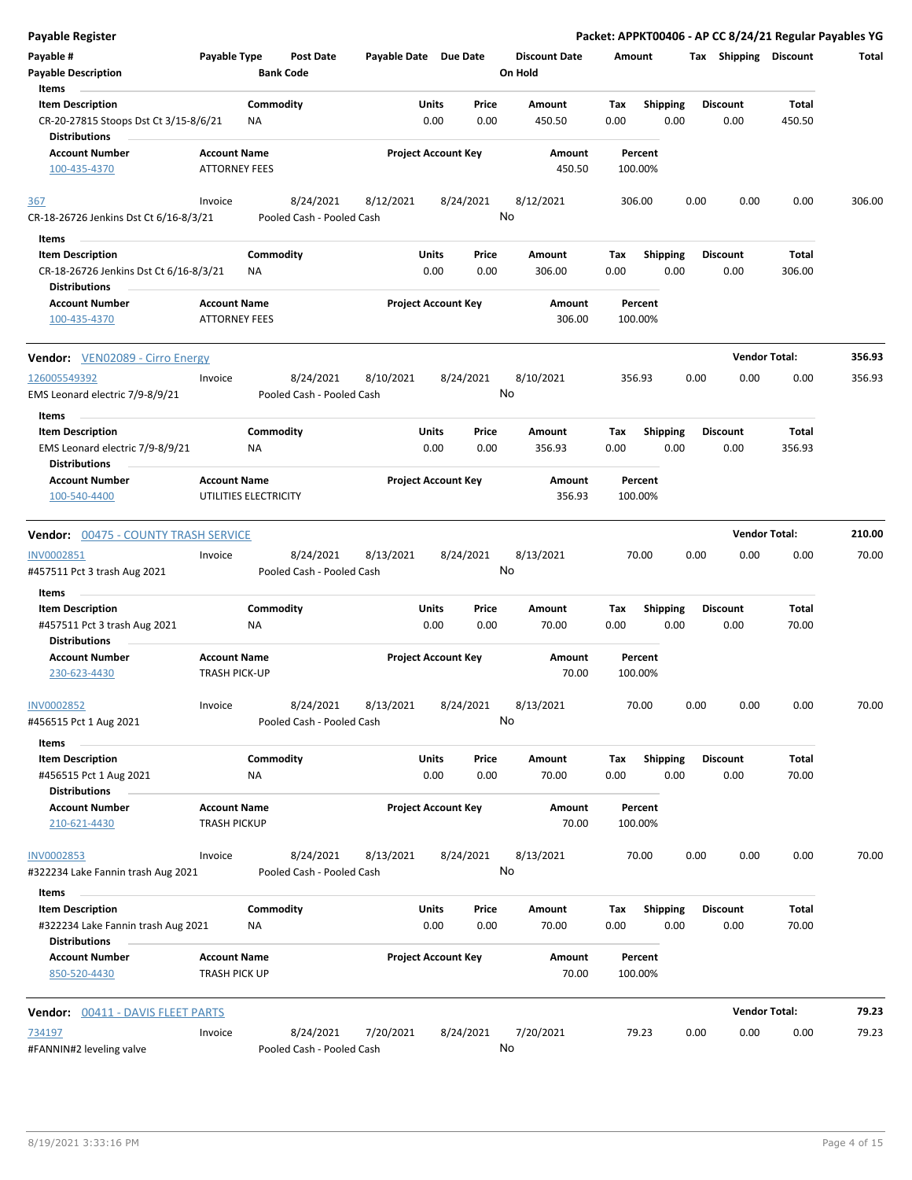| <b>Payable Register</b>                                        |                                             |                  |                                        |                       |                            |               |                                 |                    |                         |      |                         | Packet: APPKT00406 - AP CC 8/24/21 Regular Payables YG |        |
|----------------------------------------------------------------|---------------------------------------------|------------------|----------------------------------------|-----------------------|----------------------------|---------------|---------------------------------|--------------------|-------------------------|------|-------------------------|--------------------------------------------------------|--------|
| Payable #<br><b>Payable Description</b>                        | Payable Type                                | <b>Bank Code</b> | <b>Post Date</b>                       | Payable Date Due Date |                            |               | <b>Discount Date</b><br>On Hold | Amount             |                         |      | Tax Shipping Discount   |                                                        | Total  |
| Items<br><b>Item Description</b>                               |                                             | Commodity        |                                        |                       | Units                      | Price         | Amount                          | Tax                | <b>Shipping</b>         |      | <b>Discount</b>         | Total                                                  |        |
| CR-20-27815 Stoops Dst Ct 3/15-8/6/21<br><b>Distributions</b>  |                                             | NA               |                                        |                       | 0.00                       | 0.00          | 450.50                          | 0.00               | 0.00                    |      | 0.00                    | 450.50                                                 |        |
| <b>Account Number</b><br>100-435-4370                          | <b>Account Name</b><br><b>ATTORNEY FEES</b> |                  |                                        |                       | <b>Project Account Key</b> |               | Amount<br>450.50                | Percent<br>100.00% |                         |      |                         |                                                        |        |
|                                                                |                                             |                  |                                        |                       |                            |               |                                 |                    |                         |      |                         |                                                        |        |
| 367<br>CR-18-26726 Jenkins Dst Ct 6/16-8/3/21                  | Invoice                                     |                  | 8/24/2021<br>Pooled Cash - Pooled Cash | 8/12/2021             |                            | 8/24/2021     | 8/12/2021<br>No                 | 306.00             |                         | 0.00 | 0.00                    | 0.00                                                   | 306.00 |
| Items                                                          |                                             |                  |                                        |                       |                            |               |                                 |                    |                         |      |                         |                                                        |        |
| <b>Item Description</b>                                        |                                             | Commodity        |                                        |                       | Units                      | Price         | Amount                          | Tax                | <b>Shipping</b>         |      | <b>Discount</b>         | <b>Total</b>                                           |        |
| CR-18-26726 Jenkins Dst Ct 6/16-8/3/21<br><b>Distributions</b> |                                             | <b>NA</b>        |                                        |                       | 0.00                       | 0.00          | 306.00                          | 0.00               | 0.00                    |      | 0.00                    | 306.00                                                 |        |
| <b>Account Number</b>                                          | <b>Account Name</b>                         |                  |                                        |                       | <b>Project Account Key</b> |               | Amount                          | Percent            |                         |      |                         |                                                        |        |
| 100-435-4370                                                   | <b>ATTORNEY FEES</b>                        |                  |                                        |                       |                            |               | 306.00                          | 100.00%            |                         |      |                         |                                                        |        |
| <b>Vendor:</b> VEN02089 - Cirro Energy                         |                                             |                  |                                        |                       |                            |               |                                 |                    |                         |      | <b>Vendor Total:</b>    |                                                        | 356.93 |
| 126005549392                                                   | Invoice                                     |                  | 8/24/2021                              | 8/10/2021             |                            | 8/24/2021     | 8/10/2021                       | 356.93             |                         | 0.00 | 0.00                    | 0.00                                                   | 356.93 |
| EMS Leonard electric 7/9-8/9/21                                |                                             |                  | Pooled Cash - Pooled Cash              |                       |                            |               | No                              |                    |                         |      |                         |                                                        |        |
| Items                                                          |                                             |                  |                                        |                       |                            |               |                                 |                    |                         |      |                         |                                                        |        |
| <b>Item Description</b>                                        |                                             | Commodity        |                                        |                       | Units                      | Price         | Amount                          | Tax                | <b>Shipping</b>         |      | <b>Discount</b>         | <b>Total</b>                                           |        |
| EMS Leonard electric 7/9-8/9/21<br><b>Distributions</b>        |                                             | ΝA               |                                        |                       | 0.00                       | 0.00          | 356.93                          | 0.00               | 0.00                    |      | 0.00                    | 356.93                                                 |        |
| <b>Account Number</b>                                          | <b>Account Name</b>                         |                  |                                        |                       | <b>Project Account Key</b> |               | Amount                          | Percent            |                         |      |                         |                                                        |        |
| 100-540-4400                                                   | UTILITIES ELECTRICITY                       |                  |                                        |                       |                            |               | 356.93                          | 100.00%            |                         |      |                         |                                                        |        |
| <b>Vendor: 00475 - COUNTY TRASH SERVICE</b>                    |                                             |                  |                                        |                       |                            |               |                                 |                    |                         |      | <b>Vendor Total:</b>    |                                                        | 210.00 |
| INV0002851                                                     | Invoice                                     |                  | 8/24/2021                              | 8/13/2021             |                            | 8/24/2021     | 8/13/2021                       | 70.00              |                         | 0.00 | 0.00                    | 0.00                                                   | 70.00  |
| #457511 Pct 3 trash Aug 2021                                   |                                             |                  | Pooled Cash - Pooled Cash              |                       |                            |               | No                              |                    |                         |      |                         |                                                        |        |
| Items                                                          |                                             |                  |                                        |                       |                            |               |                                 |                    |                         |      |                         |                                                        |        |
| <b>Item Description</b><br>#457511 Pct 3 trash Aug 2021        |                                             | Commodity<br>ΝA  |                                        |                       | <b>Units</b><br>0.00       | Price<br>0.00 | Amount<br>70.00                 | Tax<br>0.00        | <b>Shipping</b><br>0.00 |      | <b>Discount</b><br>0.00 | Total<br>70.00                                         |        |
| <b>Distributions</b>                                           | <b>Account Name</b>                         |                  |                                        |                       |                            |               |                                 |                    |                         |      |                         |                                                        |        |
| <b>Account Number</b><br>230-623-4430                          | <b>TRASH PICK-UP</b>                        |                  |                                        |                       | <b>Project Account Key</b> |               | Amount<br>70.00                 | Percent<br>100.00% |                         |      |                         |                                                        |        |
| INV0002852                                                     | Invoice                                     |                  | 8/24/2021                              | 8/13/2021             |                            | 8/24/2021     | 8/13/2021                       | 70.00              |                         | 0.00 | 0.00                    | 0.00                                                   | 70.00  |
| #456515 Pct 1 Aug 2021                                         |                                             |                  | Pooled Cash - Pooled Cash              |                       |                            |               | No                              |                    |                         |      |                         |                                                        |        |
| Items<br><b>Item Description</b>                               |                                             | Commodity        |                                        |                       | Units                      | Price         | Amount                          | Tax                | <b>Shipping</b>         |      | <b>Discount</b>         | Total                                                  |        |
| #456515 Pct 1 Aug 2021                                         |                                             | NA               |                                        |                       | 0.00                       | 0.00          | 70.00                           | 0.00               | 0.00                    |      | 0.00                    | 70.00                                                  |        |
| <b>Distributions</b>                                           |                                             |                  |                                        |                       |                            |               |                                 |                    |                         |      |                         |                                                        |        |
| <b>Account Number</b><br>210-621-4430                          | <b>Account Name</b><br><b>TRASH PICKUP</b>  |                  |                                        |                       | <b>Project Account Key</b> |               | Amount<br>70.00                 | Percent<br>100.00% |                         |      |                         |                                                        |        |
| <b>INV0002853</b>                                              | Invoice                                     |                  | 8/24/2021                              | 8/13/2021             |                            | 8/24/2021     | 8/13/2021                       | 70.00              |                         | 0.00 | 0.00                    | 0.00                                                   | 70.00  |
| #322234 Lake Fannin trash Aug 2021                             |                                             |                  | Pooled Cash - Pooled Cash              |                       |                            |               | No                              |                    |                         |      |                         |                                                        |        |
| Items                                                          |                                             |                  |                                        |                       |                            |               |                                 |                    |                         |      |                         |                                                        |        |
| <b>Item Description</b><br>#322234 Lake Fannin trash Aug 2021  |                                             | Commodity<br>NA  |                                        |                       | Units<br>0.00              | Price<br>0.00 | Amount<br>70.00                 | Tax<br>0.00        | <b>Shipping</b><br>0.00 |      | <b>Discount</b><br>0.00 | Total<br>70.00                                         |        |
| <b>Distributions</b>                                           |                                             |                  |                                        |                       |                            |               |                                 |                    |                         |      |                         |                                                        |        |
| <b>Account Number</b><br>850-520-4430                          | <b>Account Name</b><br>TRASH PICK UP        |                  |                                        |                       | <b>Project Account Key</b> |               | Amount<br>70.00                 | Percent<br>100.00% |                         |      |                         |                                                        |        |
| Vendor: 00411 - DAVIS FLEET PARTS                              |                                             |                  |                                        |                       |                            |               |                                 |                    |                         |      | <b>Vendor Total:</b>    |                                                        | 79.23  |
| 734197                                                         | Invoice                                     |                  | 8/24/2021                              | 7/20/2021             |                            | 8/24/2021     | 7/20/2021                       | 79.23              |                         | 0.00 | 0.00                    | 0.00                                                   | 79.23  |
| #FANNIN#2 leveling valve                                       |                                             |                  | Pooled Cash - Pooled Cash              |                       |                            |               | No                              |                    |                         |      |                         |                                                        |        |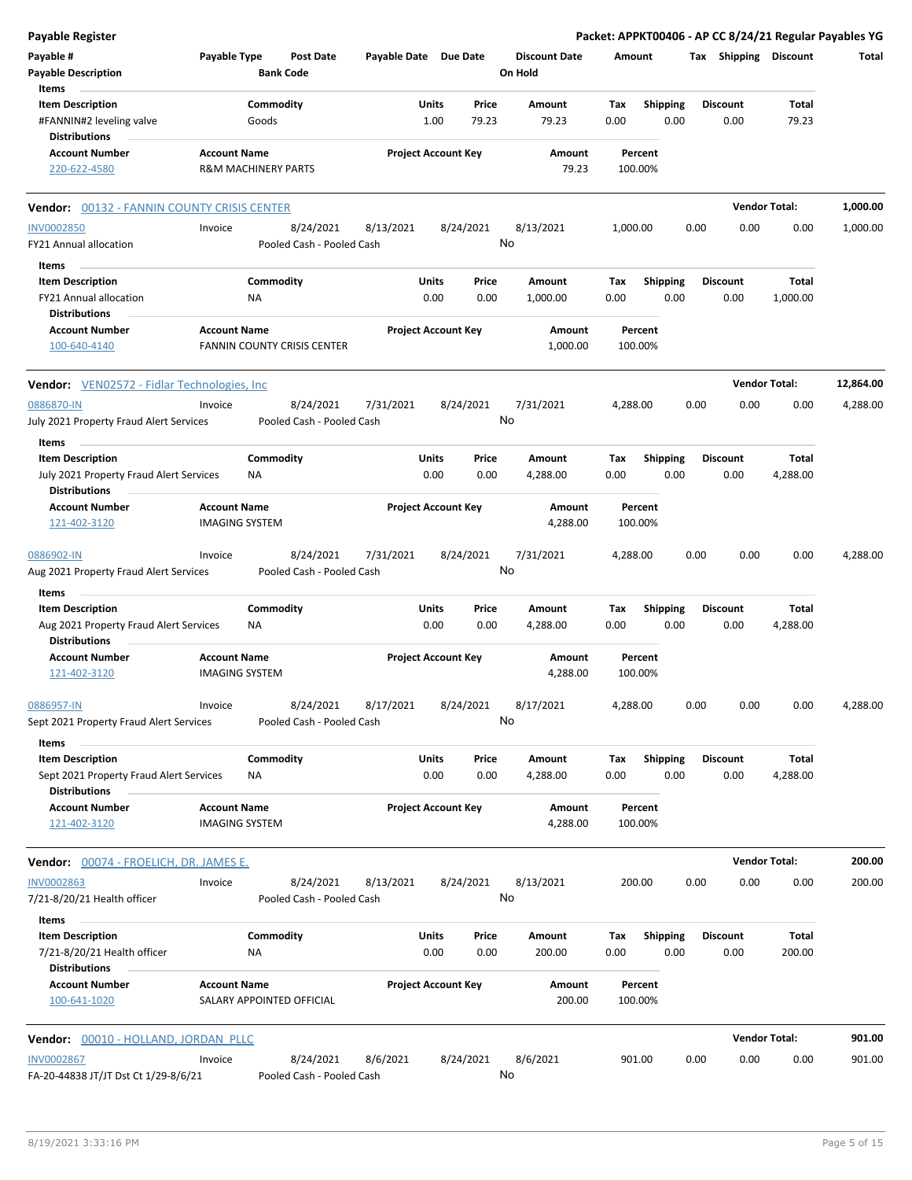| <b>Payable Register</b>                                                          |                                              |                                    |                                        |                       |               |                            |                 |                           |             |                         |      |                         |                      | Packet: APPKT00406 - AP CC 8/24/21 Regular Payables YG |
|----------------------------------------------------------------------------------|----------------------------------------------|------------------------------------|----------------------------------------|-----------------------|---------------|----------------------------|-----------------|---------------------------|-------------|-------------------------|------|-------------------------|----------------------|--------------------------------------------------------|
| Payable #<br><b>Payable Description</b>                                          | Payable Type                                 | <b>Bank Code</b>                   | <b>Post Date</b>                       | Payable Date Due Date |               |                            | On Hold         | <b>Discount Date</b>      | Amount      |                         |      | Tax Shipping Discount   |                      | Total                                                  |
| Items                                                                            |                                              |                                    |                                        |                       |               |                            |                 |                           |             |                         |      |                         |                      |                                                        |
| <b>Item Description</b><br>#FANNIN#2 leveling valve<br><b>Distributions</b>      |                                              | Commodity<br>Goods                 |                                        |                       | Units<br>1.00 | Price<br>79.23             |                 | Amount<br>79.23           | Tax<br>0.00 | Shipping<br>0.00        |      | <b>Discount</b><br>0.00 | Total<br>79.23       |                                                        |
| <b>Account Number</b>                                                            | <b>Account Name</b>                          |                                    |                                        |                       |               | <b>Project Account Key</b> |                 | Amount                    |             | Percent                 |      |                         |                      |                                                        |
| 220-622-4580                                                                     |                                              | <b>R&amp;M MACHINERY PARTS</b>     |                                        |                       |               |                            |                 | 79.23                     |             | 100.00%                 |      |                         |                      |                                                        |
| Vendor: 00132 - FANNIN COUNTY CRISIS CENTER                                      |                                              |                                    |                                        |                       |               |                            |                 |                           |             |                         |      |                         | <b>Vendor Total:</b> | 1,000.00                                               |
| <b>INV0002850</b><br><b>FY21 Annual allocation</b>                               | Invoice                                      |                                    | 8/24/2021<br>Pooled Cash - Pooled Cash | 8/13/2021             |               | 8/24/2021                  | 8/13/2021<br>No |                           | 1,000.00    |                         | 0.00 | 0.00                    | 0.00                 | 1,000.00                                               |
| Items                                                                            |                                              |                                    |                                        |                       |               |                            |                 |                           |             |                         |      |                         |                      |                                                        |
| <b>Item Description</b><br><b>FY21 Annual allocation</b><br><b>Distributions</b> |                                              | Commodity<br>ΝA                    |                                        |                       | Units<br>0.00 | Price<br>0.00              |                 | Amount<br>1,000.00        | Tax<br>0.00 | <b>Shipping</b><br>0.00 |      | <b>Discount</b><br>0.00 | Total<br>1,000.00    |                                                        |
| <b>Account Number</b>                                                            | <b>Account Name</b>                          |                                    |                                        |                       |               | <b>Project Account Key</b> |                 | <b>Amount</b>             |             | Percent                 |      |                         |                      |                                                        |
| 100-640-4140                                                                     |                                              | <b>FANNIN COUNTY CRISIS CENTER</b> |                                        |                       |               |                            |                 | 1,000.00                  |             | 100.00%                 |      |                         |                      |                                                        |
| <b>Vendor:</b> VEN02572 - Fidlar Technologies, Inc.                              |                                              |                                    |                                        |                       |               |                            |                 |                           |             |                         |      |                         | <b>Vendor Total:</b> | 12,864.00                                              |
| 0886870-IN<br>July 2021 Property Fraud Alert Services                            | Invoice                                      |                                    | 8/24/2021<br>Pooled Cash - Pooled Cash | 7/31/2021             |               | 8/24/2021                  | 7/31/2021<br>No |                           | 4,288.00    |                         | 0.00 | 0.00                    | 0.00                 | 4,288.00                                               |
| Items                                                                            |                                              |                                    |                                        |                       |               |                            |                 |                           |             |                         |      |                         |                      |                                                        |
| <b>Item Description</b><br>July 2021 Property Fraud Alert Services               |                                              | Commodity<br>ΝA                    |                                        |                       | Units<br>0.00 | Price<br>0.00              |                 | Amount<br>4,288.00        | Tax<br>0.00 | <b>Shipping</b><br>0.00 |      | <b>Discount</b><br>0.00 | Total<br>4,288.00    |                                                        |
| <b>Distributions</b>                                                             |                                              |                                    |                                        |                       |               |                            |                 |                           |             |                         |      |                         |                      |                                                        |
| <b>Account Number</b><br>121-402-3120                                            | <b>Account Name</b><br><b>IMAGING SYSTEM</b> |                                    |                                        |                       |               | <b>Project Account Key</b> |                 | Amount<br>4,288.00        |             | Percent<br>100.00%      |      |                         |                      |                                                        |
| 0886902-IN<br>Aug 2021 Property Fraud Alert Services                             | Invoice                                      |                                    | 8/24/2021<br>Pooled Cash - Pooled Cash | 7/31/2021             |               | 8/24/2021                  | 7/31/2021<br>No |                           | 4,288.00    |                         | 0.00 | 0.00                    | 0.00                 | 4,288.00                                               |
| Items                                                                            |                                              |                                    |                                        |                       |               |                            |                 |                           |             |                         |      |                         |                      |                                                        |
| <b>Item Description</b><br>Aug 2021 Property Fraud Alert Services                |                                              | Commodity<br>NA                    |                                        |                       | Units<br>0.00 | Price<br>0.00              |                 | Amount<br>4,288.00        | Tax<br>0.00 | <b>Shipping</b><br>0.00 |      | <b>Discount</b><br>0.00 | Total<br>4,288.00    |                                                        |
| <b>Distributions</b>                                                             |                                              |                                    |                                        |                       |               |                            |                 |                           |             |                         |      |                         |                      |                                                        |
| <b>Account Number</b><br>121-402-3120                                            | <b>Account Name</b><br><b>IMAGING SYSTEM</b> |                                    |                                        |                       |               | <b>Project Account Key</b> |                 | <b>Amount</b><br>4,288.00 |             | Percent<br>100.00%      |      |                         |                      |                                                        |
| 0886957-IN<br>Sept 2021 Property Fraud Alert Services                            | Invoice                                      |                                    | 8/24/2021<br>Pooled Cash - Pooled Cash | 8/17/2021             |               | 8/24/2021                  | 8/17/2021<br>No |                           | 4,288.00    |                         | 0.00 | 0.00                    | 0.00                 | 4,288.00                                               |
| Items                                                                            |                                              |                                    |                                        |                       |               |                            |                 |                           |             |                         |      |                         |                      |                                                        |
| <b>Item Description</b><br>Sept 2021 Property Fraud Alert Services               |                                              | Commodity<br>ΝA                    |                                        |                       | Units<br>0.00 | Price<br>0.00              |                 | Amount<br>4,288.00        | Tax<br>0.00 | Shipping<br>0.00        |      | Discount<br>0.00        | Total<br>4,288.00    |                                                        |
| <b>Distributions</b><br><b>Account Number</b><br>121-402-3120                    | <b>Account Name</b><br><b>IMAGING SYSTEM</b> |                                    |                                        |                       |               | <b>Project Account Key</b> |                 | Amount<br>4,288.00        |             | Percent<br>100.00%      |      |                         |                      |                                                        |
| <b>Vendor:</b> 00074 - FROELICH, DR. JAMES E.                                    |                                              |                                    |                                        |                       |               |                            |                 |                           |             |                         |      |                         | <b>Vendor Total:</b> | 200.00                                                 |
| <b>INV0002863</b><br>7/21-8/20/21 Health officer                                 | Invoice                                      |                                    | 8/24/2021<br>Pooled Cash - Pooled Cash | 8/13/2021             |               | 8/24/2021                  | 8/13/2021<br>No |                           |             | 200.00                  | 0.00 | 0.00                    | 0.00                 | 200.00                                                 |
| Items                                                                            |                                              |                                    |                                        |                       |               |                            |                 |                           |             |                         |      |                         |                      |                                                        |
| <b>Item Description</b><br>7/21-8/20/21 Health officer<br><b>Distributions</b>   |                                              | Commodity<br>ΝA                    |                                        |                       | Units<br>0.00 | Price<br>0.00              |                 | Amount<br>200.00          | Tax<br>0.00 | <b>Shipping</b><br>0.00 |      | Discount<br>0.00        | Total<br>200.00      |                                                        |
| <b>Account Number</b><br>100-641-1020                                            | <b>Account Name</b>                          | SALARY APPOINTED OFFICIAL          |                                        |                       |               | <b>Project Account Key</b> |                 | Amount<br>200.00          |             | Percent<br>100.00%      |      |                         |                      |                                                        |
| Vendor: 00010 - HOLLAND, JORDAN PLLC                                             |                                              |                                    |                                        |                       |               |                            |                 |                           |             |                         |      |                         | <b>Vendor Total:</b> | 901.00                                                 |
| <b>INV0002867</b>                                                                | Invoice                                      |                                    | 8/24/2021                              | 8/6/2021              |               | 8/24/2021                  | 8/6/2021        |                           |             | 901.00                  | 0.00 | 0.00                    | 0.00                 | 901.00                                                 |
| FA-20-44838 JT/JT Dst Ct 1/29-8/6/21                                             |                                              |                                    | Pooled Cash - Pooled Cash              |                       |               |                            | No              |                           |             |                         |      |                         |                      |                                                        |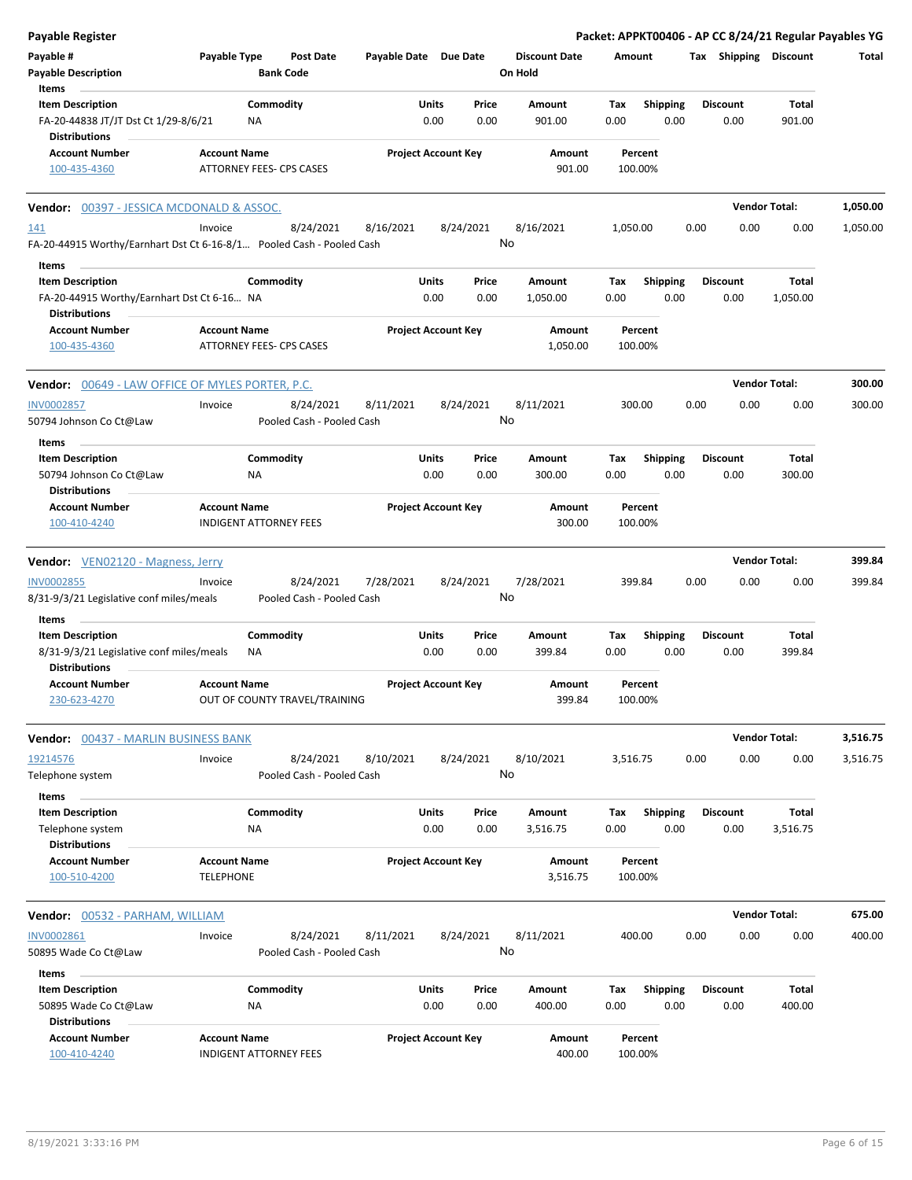| <b>Payable Register</b>                                                                     |                                                      |                                        |                       |                                |                                 |                    |                         |                         |      | Packet: APPKT00406 - AP CC 8/24/21 Regular Payables YG |          |
|---------------------------------------------------------------------------------------------|------------------------------------------------------|----------------------------------------|-----------------------|--------------------------------|---------------------------------|--------------------|-------------------------|-------------------------|------|--------------------------------------------------------|----------|
| Payable #<br><b>Payable Description</b>                                                     | <b>Payable Type</b>                                  | <b>Post Date</b><br><b>Bank Code</b>   | Payable Date Due Date |                                | <b>Discount Date</b><br>On Hold | Amount             |                         |                         |      | Tax Shipping Discount                                  | Total    |
| Items                                                                                       |                                                      |                                        |                       |                                |                                 |                    |                         |                         |      |                                                        |          |
| <b>Item Description</b><br>FA-20-44838 JT/JT Dst Ct 1/29-8/6/21                             | Commodity<br>ΝA                                      |                                        |                       | Units<br>Price<br>0.00<br>0.00 | Amount<br>901.00                | Tax<br>0.00        | <b>Shipping</b><br>0.00 | <b>Discount</b><br>0.00 |      | Total<br>901.00                                        |          |
| <b>Distributions</b>                                                                        |                                                      |                                        |                       |                                |                                 |                    |                         |                         |      |                                                        |          |
| <b>Account Number</b><br>100-435-4360                                                       | <b>Account Name</b><br>ATTORNEY FEES- CPS CASES      |                                        |                       | <b>Project Account Key</b>     | Amount<br>901.00                | Percent<br>100.00% |                         |                         |      |                                                        |          |
| <b>Vendor: 00397 - JESSICA MCDONALD &amp; ASSOC.</b>                                        |                                                      |                                        |                       |                                |                                 |                    |                         |                         |      | <b>Vendor Total:</b>                                   | 1,050.00 |
| <u>141</u><br>FA-20-44915 Worthy/Earnhart Dst Ct 6-16-8/1 Pooled Cash - Pooled Cash         | Invoice                                              | 8/24/2021                              | 8/16/2021             | 8/24/2021                      | 8/16/2021<br>No                 | 1,050.00           |                         | 0.00                    | 0.00 | 0.00                                                   | 1,050.00 |
| Items                                                                                       |                                                      |                                        |                       |                                |                                 |                    |                         |                         |      |                                                        |          |
| <b>Item Description</b>                                                                     | Commodity                                            |                                        |                       | Units<br>Price                 | Amount                          | Tax                | <b>Shipping</b>         | <b>Discount</b>         |      | Total                                                  |          |
| FA-20-44915 Worthy/Earnhart Dst Ct 6-16 NA<br><b>Distributions</b>                          |                                                      |                                        |                       | 0.00<br>0.00                   | 1,050.00                        | 0.00               | 0.00                    | 0.00                    |      | 1,050.00                                               |          |
| <b>Account Number</b>                                                                       | <b>Account Name</b>                                  |                                        |                       | <b>Project Account Key</b>     | Amount                          | Percent            |                         |                         |      |                                                        |          |
| 100-435-4360                                                                                | ATTORNEY FEES- CPS CASES                             |                                        |                       |                                | 1,050.00                        | 100.00%            |                         |                         |      |                                                        |          |
| Vendor: 00649 - LAW OFFICE OF MYLES PORTER, P.C.                                            |                                                      |                                        |                       |                                |                                 |                    |                         |                         |      | <b>Vendor Total:</b>                                   | 300.00   |
| <b>INV0002857</b>                                                                           | Invoice                                              | 8/24/2021                              | 8/11/2021             | 8/24/2021                      | 8/11/2021                       | 300.00             |                         | 0.00                    | 0.00 | 0.00                                                   | 300.00   |
| 50794 Johnson Co Ct@Law                                                                     |                                                      | Pooled Cash - Pooled Cash              |                       |                                | No                              |                    |                         |                         |      |                                                        |          |
| Items                                                                                       |                                                      |                                        |                       |                                |                                 |                    |                         |                         |      |                                                        |          |
| <b>Item Description</b>                                                                     | Commodity                                            |                                        |                       | Units<br>Price                 | Amount                          | Тах                | <b>Shipping</b>         | <b>Discount</b>         |      | Total                                                  |          |
| 50794 Johnson Co Ct@Law<br><b>Distributions</b>                                             | ΝA                                                   |                                        |                       | 0.00<br>0.00                   | 300.00                          | 0.00               | 0.00                    | 0.00                    |      | 300.00                                                 |          |
| <b>Account Number</b>                                                                       | <b>Account Name</b>                                  |                                        |                       | <b>Project Account Key</b>     | Amount                          | Percent            |                         |                         |      |                                                        |          |
| 100-410-4240                                                                                | <b>INDIGENT ATTORNEY FEES</b>                        |                                        |                       |                                | 300.00                          | 100.00%            |                         |                         |      |                                                        |          |
| <b>Vendor:</b> VEN02120 - Magness, Jerry                                                    |                                                      |                                        |                       |                                |                                 |                    |                         |                         |      | <b>Vendor Total:</b>                                   | 399.84   |
| INV0002855                                                                                  | Invoice                                              | 8/24/2021                              | 7/28/2021             | 8/24/2021                      | 7/28/2021                       | 399.84             |                         | 0.00                    | 0.00 | 0.00                                                   | 399.84   |
| 8/31-9/3/21 Legislative conf miles/meals                                                    |                                                      | Pooled Cash - Pooled Cash              |                       |                                | No                              |                    |                         |                         |      |                                                        |          |
| Items                                                                                       |                                                      |                                        |                       |                                |                                 |                    |                         |                         |      |                                                        |          |
| <b>Item Description</b><br>8/31-9/3/21 Legislative conf miles/meals<br><b>Distributions</b> | Commodity<br>ΝA                                      |                                        |                       | Units<br>Price<br>0.00<br>0.00 | Amount<br>399.84                | Tax<br>0.00        | <b>Shipping</b><br>0.00 | <b>Discount</b><br>0.00 |      | Total<br>399.84                                        |          |
| <b>Account Number</b><br>230-623-4270                                                       | <b>Account Name</b><br>OUT OF COUNTY TRAVEL/TRAINING |                                        |                       | <b>Project Account Key</b>     | Amount<br>399.84                | Percent<br>100.00% |                         |                         |      |                                                        |          |
| Vendor: 00437 - MARLIN BUSINESS BANK                                                        |                                                      |                                        |                       |                                |                                 |                    |                         |                         |      | <b>Vendor Total:</b>                                   | 3,516.75 |
| 19214576                                                                                    | Invoice                                              | 8/24/2021                              | 8/10/2021             | 8/24/2021                      | 8/10/2021                       | 3,516.75           |                         | 0.00                    | 0.00 | 0.00                                                   | 3,516.75 |
| Telephone system                                                                            |                                                      | Pooled Cash - Pooled Cash              |                       |                                | No                              |                    |                         |                         |      |                                                        |          |
| Items                                                                                       |                                                      |                                        |                       |                                |                                 |                    |                         |                         |      |                                                        |          |
| <b>Item Description</b><br>Telephone system<br><b>Distributions</b>                         | Commodity<br>ΝA                                      |                                        |                       | Units<br>Price<br>0.00<br>0.00 | Amount<br>3,516.75              | Tax<br>0.00        | Shipping<br>0.00        | <b>Discount</b><br>0.00 |      | Total<br>3,516.75                                      |          |
| <b>Account Number</b>                                                                       | <b>Account Name</b>                                  |                                        |                       | <b>Project Account Key</b>     | Amount                          | Percent            |                         |                         |      |                                                        |          |
| 100-510-4200                                                                                | <b>TELEPHONE</b>                                     |                                        |                       |                                | 3,516.75                        | 100.00%            |                         |                         |      |                                                        |          |
| Vendor: 00532 - PARHAM, WILLIAM                                                             |                                                      |                                        |                       |                                |                                 |                    |                         |                         |      | <b>Vendor Total:</b>                                   | 675.00   |
| INV0002861<br>50895 Wade Co Ct@Law                                                          | Invoice                                              | 8/24/2021<br>Pooled Cash - Pooled Cash | 8/11/2021             | 8/24/2021                      | 8/11/2021<br>No                 | 400.00             |                         | 0.00                    | 0.00 | 0.00                                                   | 400.00   |
| Items                                                                                       |                                                      |                                        |                       |                                |                                 |                    |                         |                         |      |                                                        |          |
| <b>Item Description</b>                                                                     | Commodity                                            |                                        |                       | Units<br>Price                 | Amount                          | Tax                | <b>Shipping</b>         | <b>Discount</b>         |      | <b>Total</b>                                           |          |
| 50895 Wade Co Ct@Law<br><b>Distributions</b>                                                | ΝA                                                   |                                        |                       | 0.00<br>0.00                   | 400.00                          | 0.00               | 0.00                    | 0.00                    |      | 400.00                                                 |          |
| <b>Account Number</b><br>100-410-4240                                                       | <b>Account Name</b><br><b>INDIGENT ATTORNEY FEES</b> |                                        |                       | <b>Project Account Key</b>     | Amount<br>400.00                | Percent<br>100.00% |                         |                         |      |                                                        |          |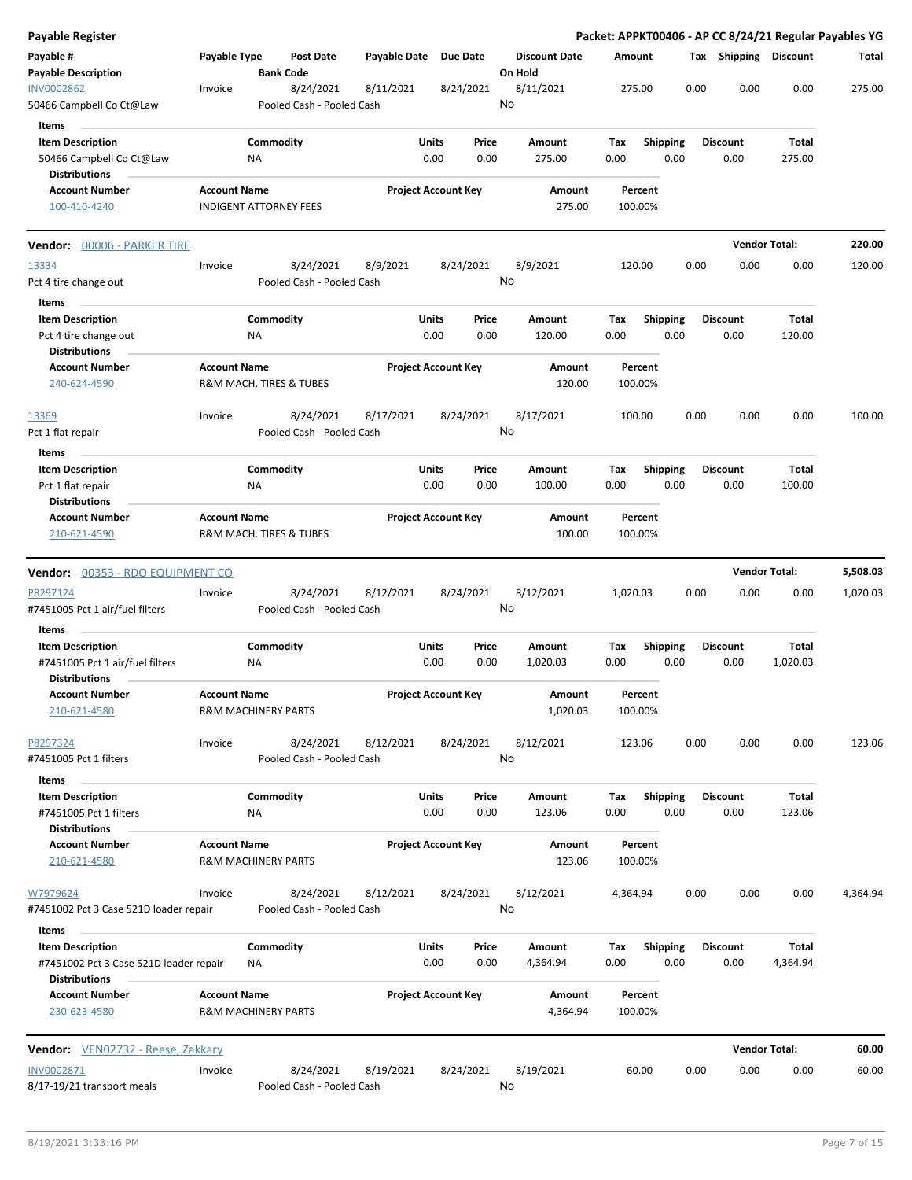| <b>Payable Register</b>                                           |                     |                                        |                       |                            |                                 |             |                         |      |                         |                          | Packet: APPKT00406 - AP CC 8/24/21 Regular Payables YG |
|-------------------------------------------------------------------|---------------------|----------------------------------------|-----------------------|----------------------------|---------------------------------|-------------|-------------------------|------|-------------------------|--------------------------|--------------------------------------------------------|
| Payable #<br><b>Payable Description</b>                           | Payable Type        | <b>Post Date</b><br><b>Bank Code</b>   | Payable Date Due Date |                            | <b>Discount Date</b><br>On Hold | Amount      |                         |      | Tax Shipping Discount   |                          | Total                                                  |
| <b>INV0002862</b>                                                 | Invoice             | 8/24/2021                              | 8/11/2021             | 8/24/2021                  | 8/11/2021                       | 275.00      |                         | 0.00 | 0.00                    | 0.00                     | 275.00                                                 |
| 50466 Campbell Co Ct@Law                                          |                     | Pooled Cash - Pooled Cash              |                       |                            | No                              |             |                         |      |                         |                          |                                                        |
| Items                                                             |                     |                                        |                       |                            |                                 |             |                         |      |                         |                          |                                                        |
| <b>Item Description</b>                                           |                     | Commodity                              | Units                 | Price                      | Amount                          | Tax         | <b>Shipping</b>         |      | <b>Discount</b>         | Total                    |                                                        |
| 50466 Campbell Co Ct@Law                                          |                     | ΝA                                     |                       | 0.00<br>0.00               | 275.00                          | 0.00        | 0.00                    |      | 0.00                    | 275.00                   |                                                        |
| <b>Distributions</b>                                              |                     |                                        |                       |                            |                                 |             |                         |      |                         |                          |                                                        |
| <b>Account Number</b>                                             | <b>Account Name</b> |                                        |                       | <b>Project Account Key</b> | Amount                          |             | Percent                 |      |                         |                          |                                                        |
| 100-410-4240                                                      |                     | <b>INDIGENT ATTORNEY FEES</b>          |                       |                            | 275.00                          | 100.00%     |                         |      |                         |                          |                                                        |
| Vendor: 00006 - PARKER TIRE                                       |                     |                                        |                       |                            |                                 |             |                         |      |                         | <b>Vendor Total:</b>     | 220.00                                                 |
| 13334                                                             | Invoice             | 8/24/2021                              | 8/9/2021              | 8/24/2021                  | 8/9/2021                        | 120.00      |                         | 0.00 | 0.00                    | 0.00                     | 120.00                                                 |
| Pct 4 tire change out                                             |                     | Pooled Cash - Pooled Cash              |                       |                            | No                              |             |                         |      |                         |                          |                                                        |
| Items                                                             |                     |                                        |                       |                            |                                 |             |                         |      |                         |                          |                                                        |
| <b>Item Description</b>                                           |                     | Commodity                              | Units                 | Price                      | Amount                          | Tax         | <b>Shipping</b>         |      | <b>Discount</b>         | Total                    |                                                        |
| Pct 4 tire change out                                             |                     | ΝA                                     |                       | 0.00<br>0.00               | 120.00                          | 0.00        | 0.00                    |      | 0.00                    | 120.00                   |                                                        |
| <b>Distributions</b>                                              |                     |                                        |                       |                            |                                 |             |                         |      |                         |                          |                                                        |
| <b>Account Number</b>                                             | <b>Account Name</b> |                                        |                       | <b>Project Account Key</b> | Amount                          |             | Percent                 |      |                         |                          |                                                        |
| 240-624-4590                                                      |                     | R&M MACH. TIRES & TUBES                |                       |                            | 120.00                          | 100.00%     |                         |      |                         |                          |                                                        |
| 13369                                                             | Invoice             | 8/24/2021                              | 8/17/2021             | 8/24/2021                  | 8/17/2021                       | 100.00      |                         | 0.00 | 0.00                    | 0.00                     | 100.00                                                 |
| Pct 1 flat repair                                                 |                     | Pooled Cash - Pooled Cash              |                       |                            | No                              |             |                         |      |                         |                          |                                                        |
|                                                                   |                     |                                        |                       |                            |                                 |             |                         |      |                         |                          |                                                        |
| Items                                                             |                     |                                        | Units                 |                            |                                 |             |                         |      |                         | Total                    |                                                        |
| <b>Item Description</b><br>Pct 1 flat repair                      |                     | Commodity<br><b>NA</b>                 |                       | Price<br>0.00<br>0.00      | Amount<br>100.00                | Tax<br>0.00 | <b>Shipping</b><br>0.00 |      | <b>Discount</b><br>0.00 | 100.00                   |                                                        |
| <b>Distributions</b>                                              |                     |                                        |                       |                            |                                 |             |                         |      |                         |                          |                                                        |
| <b>Account Number</b>                                             | <b>Account Name</b> |                                        |                       | <b>Project Account Key</b> | Amount                          |             | Percent                 |      |                         |                          |                                                        |
| 210-621-4590                                                      |                     | R&M MACH. TIRES & TUBES                |                       |                            | 100.00                          | 100.00%     |                         |      |                         |                          |                                                        |
|                                                                   |                     |                                        |                       |                            |                                 |             |                         |      |                         |                          |                                                        |
| Vendor: 00353 - RDO EQUIPMENT CO                                  |                     |                                        |                       |                            |                                 |             |                         |      |                         | <b>Vendor Total:</b>     | 5,508.03                                               |
| P8297124                                                          | Invoice             | 8/24/2021                              | 8/12/2021             | 8/24/2021                  | 8/12/2021                       | 1,020.03    |                         | 0.00 | 0.00                    | 0.00                     | 1,020.03                                               |
|                                                                   |                     |                                        |                       |                            |                                 |             |                         |      |                         |                          |                                                        |
| #7451005 Pct 1 air/fuel filters                                   |                     | Pooled Cash - Pooled Cash              |                       |                            | No                              |             |                         |      |                         |                          |                                                        |
| Items                                                             |                     |                                        |                       |                            |                                 |             |                         |      |                         |                          |                                                        |
| <b>Item Description</b>                                           |                     | Commodity                              | Units                 | Price                      | Amount                          | Tax         | <b>Shipping</b>         |      | <b>Discount</b>         | <b>Total</b>             |                                                        |
| #7451005 Pct 1 air/fuel filters                                   |                     | NA                                     |                       | 0.00<br>0.00               | 1,020.03                        | 0.00        | 0.00                    |      | 0.00                    | 1,020.03                 |                                                        |
| <b>Distributions</b>                                              |                     |                                        |                       |                            |                                 |             |                         |      |                         |                          |                                                        |
| <b>Account Number</b>                                             | <b>Account Name</b> |                                        |                       | <b>Project Account Key</b> | Amount                          |             | Percent                 |      |                         |                          |                                                        |
| 210-621-4580                                                      |                     | <b>R&amp;M MACHINERY PARTS</b>         |                       |                            | 1,020.03                        | 100.00%     |                         |      |                         |                          |                                                        |
| P8297324                                                          | Invoice             | 8/24/2021                              | 8/12/2021             | 8/24/2021                  | 8/12/2021                       | 123.06      |                         | 0.00 | 0.00                    | 0.00                     |                                                        |
| #7451005 Pct 1 filters                                            |                     | Pooled Cash - Pooled Cash              |                       |                            | No                              |             |                         |      |                         |                          |                                                        |
|                                                                   |                     |                                        |                       |                            |                                 |             |                         |      |                         |                          |                                                        |
| Items                                                             |                     |                                        |                       |                            |                                 |             |                         |      |                         |                          |                                                        |
| <b>Item Description</b>                                           |                     | Commodity                              | Units                 | Price                      | Amount                          | Tax         | <b>Shipping</b>         |      | <b>Discount</b>         | Total                    |                                                        |
| #7451005 Pct 1 filters<br><b>Distributions</b>                    |                     | <b>NA</b>                              |                       | 0.00<br>0.00               | 123.06                          | 0.00        | 0.00                    |      | 0.00                    | 123.06                   |                                                        |
| <b>Account Number</b>                                             | <b>Account Name</b> |                                        |                       |                            | Amount                          |             | Percent                 |      |                         |                          |                                                        |
| 210-621-4580                                                      |                     | <b>R&amp;M MACHINERY PARTS</b>         |                       | <b>Project Account Key</b> | 123.06                          | 100.00%     |                         |      |                         |                          | 123.06                                                 |
| W7979624                                                          | Invoice             | 8/24/2021                              | 8/12/2021             | 8/24/2021                  | 8/12/2021                       | 4,364.94    |                         | 0.00 | 0.00                    | 0.00                     | 4,364.94                                               |
| #7451002 Pct 3 Case 521D loader repair                            |                     | Pooled Cash - Pooled Cash              |                       |                            | No                              |             |                         |      |                         |                          |                                                        |
| Items                                                             |                     |                                        |                       |                            |                                 |             |                         |      |                         |                          |                                                        |
| <b>Item Description</b><br>#7451002 Pct 3 Case 521D loader repair |                     | Commodity<br>ΝA                        | Units                 | Price<br>0.00<br>0.00      | Amount<br>4,364.94              | Tax<br>0.00 | <b>Shipping</b><br>0.00 |      | <b>Discount</b><br>0.00 | <b>Total</b><br>4,364.94 |                                                        |
| <b>Distributions</b>                                              |                     |                                        |                       |                            |                                 |             |                         |      |                         |                          |                                                        |
| <b>Account Number</b>                                             | <b>Account Name</b> |                                        |                       | <b>Project Account Key</b> | Amount                          |             | Percent                 |      |                         |                          |                                                        |
| 230-623-4580                                                      |                     | <b>R&amp;M MACHINERY PARTS</b>         |                       |                            | 4,364.94                        | 100.00%     |                         |      |                         |                          |                                                        |
|                                                                   |                     |                                        |                       |                            |                                 |             |                         |      |                         |                          |                                                        |
| <b>Vendor:</b> VEN02732 - Reese, Zakkary                          |                     |                                        |                       |                            |                                 |             |                         |      |                         | <b>Vendor Total:</b>     |                                                        |
| INV0002871<br>8/17-19/21 transport meals                          | Invoice             | 8/24/2021<br>Pooled Cash - Pooled Cash | 8/19/2021             | 8/24/2021                  | 8/19/2021<br>No                 |             | 60.00                   | 0.00 | 0.00                    | 0.00                     | 60.00<br>60.00                                         |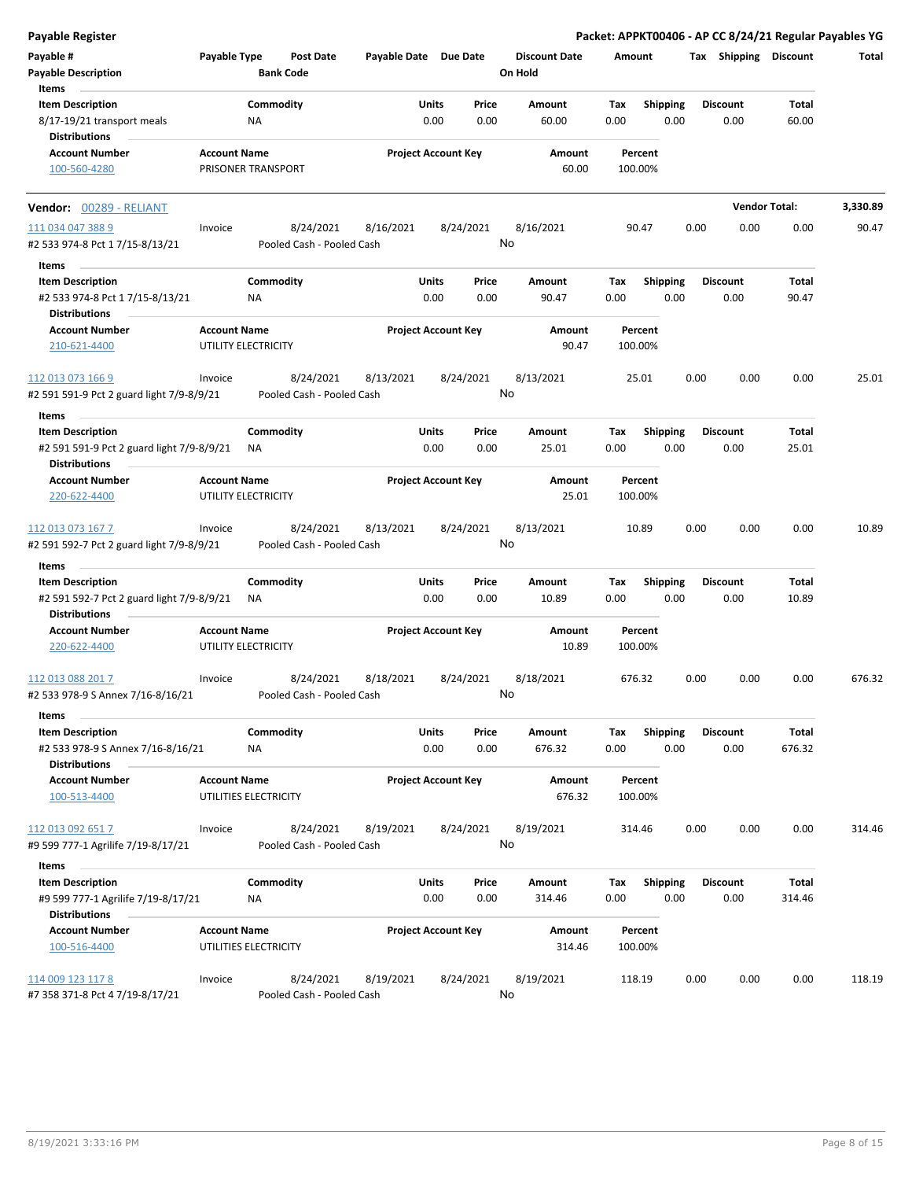| <b>Payable Register</b>                                 |                                              |                  |                           |                       |       |                            |                      |        |                    |      |                       |        | Packet: APPKT00406 - AP CC 8/24/21 Regular Payables YG |
|---------------------------------------------------------|----------------------------------------------|------------------|---------------------------|-----------------------|-------|----------------------------|----------------------|--------|--------------------|------|-----------------------|--------|--------------------------------------------------------|
| Payable #                                               | Payable Type                                 |                  | Post Date                 | Payable Date Due Date |       |                            | <b>Discount Date</b> | Amount |                    |      | Tax Shipping Discount |        | Total                                                  |
| <b>Payable Description</b>                              |                                              | <b>Bank Code</b> |                           |                       |       |                            | On Hold              |        |                    |      |                       |        |                                                        |
| Items                                                   |                                              |                  |                           |                       |       |                            |                      |        |                    |      |                       |        |                                                        |
| <b>Item Description</b>                                 |                                              | Commodity        |                           |                       | Units | Price                      | Amount               | Tax    | <b>Shipping</b>    |      | <b>Discount</b>       | Total  |                                                        |
| 8/17-19/21 transport meals<br><b>Distributions</b>      |                                              | ΝA               |                           |                       | 0.00  | 0.00                       | 60.00                | 0.00   | 0.00               |      | 0.00                  | 60.00  |                                                        |
| <b>Account Number</b>                                   | <b>Account Name</b>                          |                  |                           |                       |       | <b>Project Account Key</b> | Amount               |        | Percent            |      |                       |        |                                                        |
| 100-560-4280                                            | PRISONER TRANSPORT                           |                  |                           |                       |       |                            | 60.00                |        | 100.00%            |      |                       |        |                                                        |
| Vendor: 00289 - RELIANT                                 |                                              |                  |                           |                       |       |                            |                      |        |                    |      | <b>Vendor Total:</b>  |        | 3,330.89                                               |
| 111 034 047 388 9                                       | Invoice                                      |                  | 8/24/2021                 | 8/16/2021             |       | 8/24/2021                  | 8/16/2021            |        | 90.47              | 0.00 | 0.00                  | 0.00   | 90.47                                                  |
| #2 533 974-8 Pct 1 7/15-8/13/21                         |                                              |                  | Pooled Cash - Pooled Cash |                       |       | No                         |                      |        |                    |      |                       |        |                                                        |
| Items                                                   |                                              |                  |                           |                       |       |                            |                      |        |                    |      |                       |        |                                                        |
| <b>Item Description</b>                                 |                                              | Commodity        |                           |                       | Units | Price                      | Amount               | Tax    | <b>Shipping</b>    |      | <b>Discount</b>       | Total  |                                                        |
|                                                         |                                              | ΝA               |                           |                       | 0.00  | 0.00                       | 90.47                | 0.00   | 0.00               |      | 0.00                  | 90.47  |                                                        |
| #2 533 974-8 Pct 1 7/15-8/13/21<br><b>Distributions</b> |                                              |                  |                           |                       |       |                            |                      |        |                    |      |                       |        |                                                        |
| <b>Account Number</b>                                   | <b>Account Name</b>                          |                  |                           |                       |       | <b>Project Account Key</b> | Amount               |        | Percent            |      |                       |        |                                                        |
| 210-621-4400                                            | UTILITY ELECTRICITY                          |                  |                           |                       |       |                            | 90.47                |        | 100.00%            |      |                       |        |                                                        |
| 112 013 073 166 9                                       | Invoice                                      |                  | 8/24/2021                 | 8/13/2021             |       | 8/24/2021                  | 8/13/2021            |        | 25.01              | 0.00 | 0.00                  | 0.00   | 25.01                                                  |
| #2 591 591-9 Pct 2 guard light 7/9-8/9/21               |                                              |                  | Pooled Cash - Pooled Cash |                       |       | No                         |                      |        |                    |      |                       |        |                                                        |
|                                                         |                                              |                  |                           |                       |       |                            |                      |        |                    |      |                       |        |                                                        |
| Items                                                   |                                              | Commodity        |                           |                       |       |                            |                      |        |                    |      |                       |        |                                                        |
| <b>Item Description</b>                                 |                                              |                  |                           |                       | Units | Price                      | Amount               | Тах    | <b>Shipping</b>    |      | <b>Discount</b>       | Total  |                                                        |
| #2 591 591-9 Pct 2 guard light 7/9-8/9/21               |                                              | ΝA               |                           |                       | 0.00  | 0.00                       | 25.01                | 0.00   | 0.00               |      | 0.00                  | 25.01  |                                                        |
| <b>Distributions</b>                                    |                                              |                  |                           |                       |       |                            |                      |        |                    |      |                       |        |                                                        |
| <b>Account Number</b>                                   | <b>Account Name</b>                          |                  |                           |                       |       | <b>Project Account Key</b> | Amount               |        | Percent            |      |                       |        |                                                        |
| 220-622-4400                                            | UTILITY ELECTRICITY                          |                  |                           |                       |       |                            | 25.01                |        | 100.00%            |      |                       |        |                                                        |
| 112 013 073 167 7                                       | Invoice                                      |                  | 8/24/2021                 | 8/13/2021             |       | 8/24/2021                  | 8/13/2021            |        | 10.89              | 0.00 | 0.00                  | 0.00   | 10.89                                                  |
| #2 591 592-7 Pct 2 guard light 7/9-8/9/21               |                                              |                  | Pooled Cash - Pooled Cash |                       |       | No                         |                      |        |                    |      |                       |        |                                                        |
| Items                                                   |                                              |                  |                           |                       |       |                            |                      |        |                    |      |                       |        |                                                        |
| <b>Item Description</b>                                 |                                              | Commodity        |                           |                       | Units | Price                      | Amount               | Tax    | <b>Shipping</b>    |      | <b>Discount</b>       | Total  |                                                        |
| #2 591 592-7 Pct 2 guard light 7/9-8/9/21               |                                              | ΝA               |                           |                       | 0.00  | 0.00                       | 10.89                | 0.00   | 0.00               |      | 0.00                  | 10.89  |                                                        |
| <b>Distributions</b>                                    |                                              |                  |                           |                       |       |                            |                      |        |                    |      |                       |        |                                                        |
| <b>Account Number</b>                                   | <b>Account Name</b>                          |                  |                           |                       |       | <b>Project Account Key</b> | Amount               |        | Percent            |      |                       |        |                                                        |
| 220-622-4400                                            | UTILITY ELECTRICITY                          |                  |                           |                       |       |                            | 10.89                |        | 100.00%            |      |                       |        |                                                        |
| 112 013 088 201 7                                       | Invoice                                      |                  | 8/24/2021                 | 8/18/2021             |       | 8/24/2021                  | 8/18/2021            |        | 676.32             | 0.00 | 0.00                  | 0.00   | 676.32                                                 |
| #2 533 978-9 S Annex 7/16-8/16/21                       |                                              |                  | Pooled Cash - Pooled Cash |                       |       | No                         |                      |        |                    |      |                       |        |                                                        |
| Items                                                   |                                              |                  |                           |                       |       |                            |                      |        |                    |      |                       |        |                                                        |
| <b>Item Description</b>                                 |                                              | Commodity        |                           |                       | Units | Price                      | Amount               | Tax    | <b>Shipping</b>    |      | <b>Discount</b>       | Total  |                                                        |
| #2 533 978-9 S Annex 7/16-8/16/21                       |                                              | NA               |                           |                       | 0.00  | 0.00                       | 676.32               | 0.00   | 0.00               |      | 0.00                  | 676.32 |                                                        |
| <b>Distributions</b>                                    |                                              |                  |                           |                       |       |                            |                      |        |                    |      |                       |        |                                                        |
| <b>Account Number</b>                                   | <b>Account Name</b>                          |                  |                           |                       |       | <b>Project Account Key</b> | Amount               |        | Percent            |      |                       |        |                                                        |
| 100-513-4400                                            | UTILITIES ELECTRICITY                        |                  |                           |                       |       |                            | 676.32               |        | 100.00%            |      |                       |        |                                                        |
| 112 013 092 651 7                                       | Invoice                                      |                  | 8/24/2021                 | 8/19/2021             |       | 8/24/2021                  | 8/19/2021            |        | 314.46             | 0.00 | 0.00                  | 0.00   | 314.46                                                 |
| #9 599 777-1 Agrilife 7/19-8/17/21                      |                                              |                  | Pooled Cash - Pooled Cash |                       |       | No                         |                      |        |                    |      |                       |        |                                                        |
|                                                         |                                              |                  |                           |                       |       |                            |                      |        |                    |      |                       |        |                                                        |
| Items                                                   |                                              |                  |                           |                       |       |                            |                      |        |                    |      |                       |        |                                                        |
| <b>Item Description</b>                                 |                                              | Commodity        |                           |                       | Units | Price                      | Amount               | Tax    | <b>Shipping</b>    |      | <b>Discount</b>       | Total  |                                                        |
| #9 599 777-1 Agrilife 7/19-8/17/21                      |                                              | <b>NA</b>        |                           |                       | 0.00  | 0.00                       | 314.46               | 0.00   | 0.00               |      | 0.00                  | 314.46 |                                                        |
| <b>Distributions</b>                                    |                                              |                  |                           |                       |       |                            |                      |        |                    |      |                       |        |                                                        |
| <b>Account Number</b><br>100-516-4400                   | <b>Account Name</b><br>UTILITIES ELECTRICITY |                  |                           |                       |       | <b>Project Account Key</b> | Amount<br>314.46     |        | Percent<br>100.00% |      |                       |        |                                                        |
|                                                         |                                              |                  |                           |                       |       |                            |                      |        |                    |      |                       |        |                                                        |
| 114 009 123 117 8                                       | Invoice                                      |                  | 8/24/2021                 | 8/19/2021             |       | 8/24/2021                  | 8/19/2021            |        | 118.19             | 0.00 | 0.00                  | 0.00   | 118.19                                                 |
| #7 358 371-8 Pct 4 7/19-8/17/21                         |                                              |                  | Pooled Cash - Pooled Cash |                       |       | No                         |                      |        |                    |      |                       |        |                                                        |

#7 358 371-8 Pct 4 7/19-8/17/21 Pooled Cash - Pooled Cash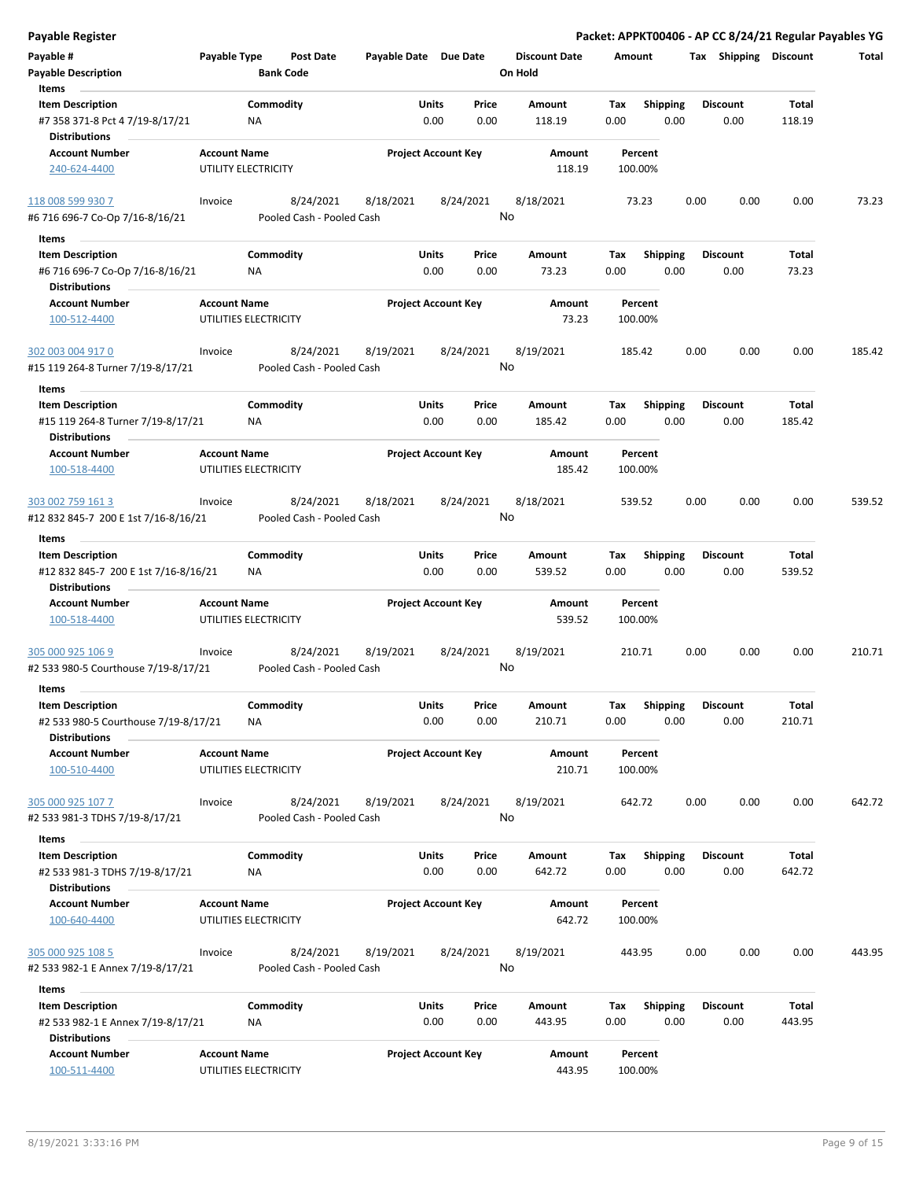| <b>Payable Register</b>                                                              |                     |                                        |                       |                            |               |                                 |             |                         |      |                         |                 | Packet: APPKT00406 - AP CC 8/24/21 Regular Payables YG |
|--------------------------------------------------------------------------------------|---------------------|----------------------------------------|-----------------------|----------------------------|---------------|---------------------------------|-------------|-------------------------|------|-------------------------|-----------------|--------------------------------------------------------|
| Payable #<br><b>Payable Description</b>                                              | Payable Type        | <b>Post Date</b><br><b>Bank Code</b>   | Payable Date Due Date |                            |               | <b>Discount Date</b><br>On Hold | Amount      |                         |      | Tax Shipping Discount   |                 | Total                                                  |
| Items<br><b>Item Description</b>                                                     |                     | Commodity                              |                       | Units                      | Price         | Amount                          | Tax         | Shipping                |      | <b>Discount</b>         | Total           |                                                        |
| #7 358 371-8 Pct 4 7/19-8/17/21<br><b>Distributions</b>                              |                     | ΝA                                     |                       | 0.00                       | 0.00          | 118.19                          | 0.00        | 0.00                    |      | 0.00                    | 118.19          |                                                        |
| <b>Account Number</b>                                                                | <b>Account Name</b> |                                        |                       | <b>Project Account Key</b> |               | Amount                          |             | Percent                 |      |                         |                 |                                                        |
| 240-624-4400                                                                         |                     | UTILITY ELECTRICITY                    |                       |                            |               | 118.19                          | 100.00%     |                         |      |                         |                 |                                                        |
| 118 008 599 930 7                                                                    | Invoice             | 8/24/2021                              | 8/18/2021             | 8/24/2021                  |               | 8/18/2021                       |             | 73.23                   | 0.00 | 0.00                    | 0.00            | 73.23                                                  |
| #6 716 696-7 Co-Op 7/16-8/16/21                                                      |                     | Pooled Cash - Pooled Cash              |                       |                            | No            |                                 |             |                         |      |                         |                 |                                                        |
| Items                                                                                |                     |                                        |                       |                            |               |                                 |             |                         |      |                         |                 |                                                        |
| <b>Item Description</b>                                                              |                     | Commodity                              |                       | Units                      | Price         | Amount                          | Tax         | <b>Shipping</b>         |      | <b>Discount</b>         | Total           |                                                        |
| #6 716 696-7 Co-Op 7/16-8/16/21<br><b>Distributions</b>                              |                     | ΝA                                     |                       | 0.00                       | 0.00          | 73.23                           | 0.00        | 0.00                    |      | 0.00                    | 73.23           |                                                        |
| <b>Account Number</b>                                                                | <b>Account Name</b> |                                        |                       | <b>Project Account Key</b> |               | Amount                          |             | Percent                 |      |                         |                 |                                                        |
| 100-512-4400                                                                         |                     | UTILITIES ELECTRICITY                  |                       |                            |               | 73.23                           | 100.00%     |                         |      |                         |                 |                                                        |
| 302 003 004 917 0<br>#15 119 264-8 Turner 7/19-8/17/21                               | Invoice             | 8/24/2021<br>Pooled Cash - Pooled Cash | 8/19/2021             | 8/24/2021                  |               | 8/19/2021<br>No                 | 185.42      |                         | 0.00 | 0.00                    | 0.00            | 185.42                                                 |
| Items                                                                                |                     |                                        |                       |                            |               |                                 |             |                         |      |                         |                 |                                                        |
| <b>Item Description</b><br>#15 119 264-8 Turner 7/19-8/17/21<br><b>Distributions</b> |                     | Commodity<br>NA                        |                       | Units<br>0.00              | Price<br>0.00 | Amount<br>185.42                | Tax<br>0.00 | <b>Shipping</b><br>0.00 |      | <b>Discount</b><br>0.00 | Total<br>185.42 |                                                        |
| <b>Account Number</b>                                                                | <b>Account Name</b> |                                        |                       | <b>Project Account Key</b> |               | Amount                          |             | Percent                 |      |                         |                 |                                                        |
| 100-518-4400                                                                         |                     | UTILITIES ELECTRICITY                  |                       |                            |               | 185.42                          |             | 100.00%                 |      |                         |                 |                                                        |
| 303 002 759 161 3                                                                    | Invoice             | 8/24/2021                              | 8/18/2021             | 8/24/2021                  |               | 8/18/2021                       | 539.52      |                         | 0.00 | 0.00                    | 0.00            | 539.52                                                 |
| #12 832 845-7 200 E 1st 7/16-8/16/21                                                 |                     | Pooled Cash - Pooled Cash              |                       |                            | No            |                                 |             |                         |      |                         |                 |                                                        |
| Items                                                                                |                     |                                        |                       |                            |               |                                 |             |                         |      |                         |                 |                                                        |
| <b>Item Description</b>                                                              |                     | Commodity                              |                       | Units                      | Price         | Amount                          | Tax         | <b>Shipping</b>         |      | <b>Discount</b>         | Total           |                                                        |
| #12 832 845-7 200 E 1st 7/16-8/16/21<br><b>Distributions</b>                         |                     | ΝA                                     |                       | 0.00                       | 0.00          | 539.52                          | 0.00        | 0.00                    |      | 0.00                    | 539.52          |                                                        |
| <b>Account Number</b><br>100-518-4400                                                | <b>Account Name</b> | UTILITIES ELECTRICITY                  |                       | <b>Project Account Key</b> |               | Amount<br>539.52                | 100.00%     | Percent                 |      |                         |                 |                                                        |
| 305 000 925 106 9                                                                    | Invoice             | 8/24/2021                              | 8/19/2021             | 8/24/2021                  |               | 8/19/2021                       | 210.71      |                         | 0.00 | 0.00                    | 0.00            | 210.71                                                 |
| #2 533 980-5 Courthouse 7/19-8/17/21                                                 |                     | Pooled Cash - Pooled Cash              |                       |                            | No            |                                 |             |                         |      |                         |                 |                                                        |
| Items                                                                                |                     |                                        |                       |                            |               |                                 |             |                         |      |                         |                 |                                                        |
| <b>Item Description</b>                                                              |                     | Commodity                              |                       | Units                      | Price         | Amount                          | Tax         | Shipping                |      | <b>Discount</b>         | Total           |                                                        |
| #2 533 980-5 Courthouse 7/19-8/17/21<br>Distributions                                |                     | ΝA                                     |                       | 0.00                       | 0.00          | 210.71                          | 0.00        | 0.00                    |      | 0.00                    | 210.71          |                                                        |
| <b>Account Number</b>                                                                | <b>Account Name</b> |                                        |                       | <b>Project Account Key</b> |               | Amount                          |             | Percent                 |      |                         |                 |                                                        |
| 100-510-4400                                                                         |                     | UTILITIES ELECTRICITY                  |                       |                            |               | 210.71                          |             | 100.00%                 |      |                         |                 |                                                        |
| 305 000 925 107 7                                                                    | Invoice             | 8/24/2021                              | 8/19/2021             | 8/24/2021                  |               | 8/19/2021                       | 642.72      |                         | 0.00 | 0.00                    | 0.00            | 642.72                                                 |
| #2 533 981-3 TDHS 7/19-8/17/21                                                       |                     | Pooled Cash - Pooled Cash              |                       |                            | No            |                                 |             |                         |      |                         |                 |                                                        |
| Items                                                                                |                     |                                        |                       |                            |               |                                 |             |                         |      |                         |                 |                                                        |
| <b>Item Description</b>                                                              |                     | Commodity                              |                       | Units                      | Price         | Amount                          | Tax         | Shipping                |      | Discount                | Total           |                                                        |
| #2 533 981-3 TDHS 7/19-8/17/21                                                       |                     | ΝA                                     |                       | 0.00                       | 0.00          | 642.72                          | 0.00        | 0.00                    |      | 0.00                    | 642.72          |                                                        |
| <b>Distributions</b>                                                                 |                     |                                        |                       |                            |               |                                 |             |                         |      |                         |                 |                                                        |
| <b>Account Number</b><br>100-640-4400                                                | <b>Account Name</b> | UTILITIES ELECTRICITY                  |                       | <b>Project Account Key</b> |               | Amount<br>642.72                |             | Percent<br>100.00%      |      |                         |                 |                                                        |
| 305 000 925 108 5                                                                    | Invoice             | 8/24/2021                              | 8/19/2021             | 8/24/2021                  |               | 8/19/2021                       | 443.95      |                         | 0.00 | 0.00                    | 0.00            | 443.95                                                 |
| #2 533 982-1 E Annex 7/19-8/17/21                                                    |                     | Pooled Cash - Pooled Cash              |                       |                            | No            |                                 |             |                         |      |                         |                 |                                                        |
| Items                                                                                |                     |                                        |                       |                            |               |                                 |             |                         |      |                         |                 |                                                        |
| <b>Item Description</b>                                                              |                     | Commodity                              |                       | Units                      | Price         | Amount                          | Tax         | <b>Shipping</b>         |      | Discount                | Total           |                                                        |
| #2 533 982-1 E Annex 7/19-8/17/21<br><b>Distributions</b>                            |                     | ΝA                                     |                       | 0.00                       | 0.00          | 443.95                          | 0.00        | 0.00                    |      | 0.00                    | 443.95          |                                                        |
| <b>Account Number</b>                                                                | <b>Account Name</b> |                                        |                       | <b>Project Account Key</b> |               | Amount                          |             | Percent                 |      |                         |                 |                                                        |
| 100-511-4400                                                                         |                     | UTILITIES ELECTRICITY                  |                       |                            |               | 443.95                          |             | 100.00%                 |      |                         |                 |                                                        |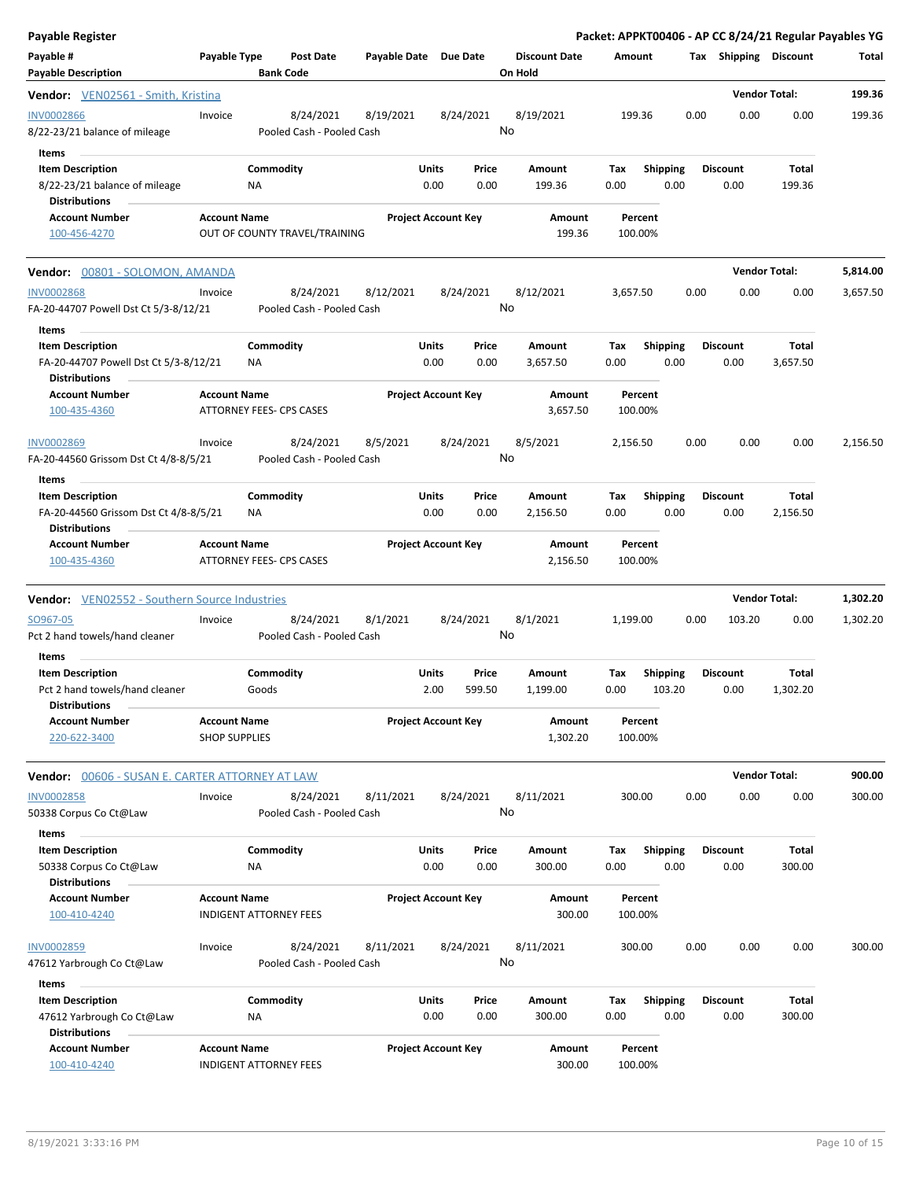| <b>Payable Register</b>                              |                      |                               |                               |                       |                            |           |         |                      |          |                 |      |      |                      |                       | Packet: APPKT00406 - AP CC 8/24/21 Regular Payables YG |
|------------------------------------------------------|----------------------|-------------------------------|-------------------------------|-----------------------|----------------------------|-----------|---------|----------------------|----------|-----------------|------|------|----------------------|-----------------------|--------------------------------------------------------|
| Payable #                                            | Payable Type         |                               | <b>Post Date</b>              | Payable Date Due Date |                            |           |         | <b>Discount Date</b> | Amount   |                 |      |      |                      | Tax Shipping Discount | Total                                                  |
| <b>Payable Description</b>                           |                      |                               | <b>Bank Code</b>              |                       |                            |           | On Hold |                      |          |                 |      |      |                      |                       |                                                        |
| <b>Vendor:</b> VEN02561 - Smith, Kristina            |                      |                               |                               |                       |                            |           |         |                      |          |                 |      |      |                      | <b>Vendor Total:</b>  | 199.36                                                 |
| <b>INV0002866</b>                                    | Invoice              |                               | 8/24/2021                     | 8/19/2021             |                            | 8/24/2021 |         | 8/19/2021            |          | 199.36          |      | 0.00 | 0.00                 | 0.00                  | 199.36                                                 |
| 8/22-23/21 balance of mileage                        |                      |                               | Pooled Cash - Pooled Cash     |                       |                            |           | No      |                      |          |                 |      |      |                      |                       |                                                        |
| <b>Items</b>                                         |                      |                               |                               |                       |                            |           |         |                      |          |                 |      |      |                      |                       |                                                        |
| <b>Item Description</b>                              |                      | Commodity                     |                               |                       | <b>Units</b>               | Price     |         | Amount               | Tax      | <b>Shipping</b> |      |      | <b>Discount</b>      | Total                 |                                                        |
| 8/22-23/21 balance of mileage                        |                      | <b>NA</b>                     |                               |                       | 0.00                       | 0.00      |         | 199.36               | 0.00     |                 | 0.00 |      | 0.00                 | 199.36                |                                                        |
| <b>Distributions</b>                                 |                      |                               |                               |                       |                            |           |         |                      |          |                 |      |      |                      |                       |                                                        |
| <b>Account Number</b>                                | <b>Account Name</b>  |                               |                               |                       | <b>Project Account Key</b> |           |         | Amount               |          | Percent         |      |      |                      |                       |                                                        |
| 100-456-4270                                         |                      |                               | OUT OF COUNTY TRAVEL/TRAINING |                       |                            |           |         | 199.36               |          | 100.00%         |      |      |                      |                       |                                                        |
| Vendor: 00801 - SOLOMON, AMANDA                      |                      |                               |                               |                       |                            |           |         |                      |          |                 |      |      |                      | <b>Vendor Total:</b>  | 5,814.00                                               |
| <b>INV0002868</b>                                    | Invoice              |                               | 8/24/2021                     | 8/12/2021             |                            | 8/24/2021 |         | 8/12/2021            | 3,657.50 |                 |      | 0.00 | 0.00                 | 0.00                  | 3,657.50                                               |
| FA-20-44707 Powell Dst Ct 5/3-8/12/21                |                      |                               | Pooled Cash - Pooled Cash     |                       |                            |           | No      |                      |          |                 |      |      |                      |                       |                                                        |
| Items                                                |                      |                               |                               |                       |                            |           |         |                      |          |                 |      |      |                      |                       |                                                        |
| <b>Item Description</b>                              |                      | Commodity                     |                               |                       | <b>Units</b>               | Price     |         | Amount               | Tax      | <b>Shipping</b> |      |      | <b>Discount</b>      | Total                 |                                                        |
| FA-20-44707 Powell Dst Ct 5/3-8/12/21                |                      | NA                            |                               |                       | 0.00                       | 0.00      |         | 3,657.50             | 0.00     |                 | 0.00 |      | 0.00                 | 3,657.50              |                                                        |
| <b>Distributions</b>                                 |                      |                               |                               |                       |                            |           |         |                      |          |                 |      |      |                      |                       |                                                        |
| <b>Account Number</b>                                | <b>Account Name</b>  |                               |                               |                       | <b>Project Account Key</b> |           |         | Amount               |          | Percent         |      |      |                      |                       |                                                        |
| 100-435-4360                                         |                      |                               | ATTORNEY FEES- CPS CASES      |                       |                            |           |         | 3,657.50             |          | 100.00%         |      |      |                      |                       |                                                        |
| <b>INV0002869</b>                                    | Invoice              |                               | 8/24/2021                     | 8/5/2021              |                            | 8/24/2021 |         | 8/5/2021             | 2,156.50 |                 |      | 0.00 | 0.00                 | 0.00                  | 2,156.50                                               |
| FA-20-44560 Grissom Dst Ct 4/8-8/5/21                |                      |                               | Pooled Cash - Pooled Cash     |                       |                            |           | No      |                      |          |                 |      |      |                      |                       |                                                        |
| Items                                                |                      |                               |                               |                       |                            |           |         |                      |          |                 |      |      |                      |                       |                                                        |
| <b>Item Description</b>                              |                      | Commodity                     |                               |                       | <b>Units</b>               | Price     |         | Amount               | Tax      | <b>Shipping</b> |      |      | <b>Discount</b>      | Total                 |                                                        |
| FA-20-44560 Grissom Dst Ct 4/8-8/5/21                |                      | NA                            |                               |                       | 0.00                       | 0.00      |         | 2,156.50             | 0.00     |                 | 0.00 |      | 0.00                 | 2,156.50              |                                                        |
| <b>Distributions</b>                                 |                      |                               |                               |                       |                            |           |         |                      |          |                 |      |      |                      |                       |                                                        |
| <b>Account Number</b>                                | <b>Account Name</b>  |                               |                               |                       | <b>Project Account Key</b> |           |         | Amount               |          | Percent         |      |      |                      |                       |                                                        |
| 100-435-4360                                         |                      |                               | ATTORNEY FEES- CPS CASES      |                       |                            |           |         | 2,156.50             |          | 100.00%         |      |      |                      |                       |                                                        |
|                                                      |                      |                               |                               |                       |                            |           |         |                      |          |                 |      |      |                      |                       |                                                        |
| <b>Vendor:</b> VEN02552 - Southern Source Industries |                      |                               |                               |                       |                            |           |         |                      |          |                 |      |      | <b>Vendor Total:</b> |                       | 1,302.20                                               |
| SO967-05                                             | Invoice              |                               | 8/24/2021                     | 8/1/2021              |                            | 8/24/2021 |         | 8/1/2021             | 1,199.00 |                 |      | 0.00 | 103.20               | 0.00                  | 1,302.20                                               |
| Pct 2 hand towels/hand cleaner                       |                      |                               | Pooled Cash - Pooled Cash     |                       |                            |           | No      |                      |          |                 |      |      |                      |                       |                                                        |
| Items                                                |                      |                               |                               |                       |                            |           |         |                      |          |                 |      |      |                      |                       |                                                        |
| <b>Item Description</b>                              |                      | Commodity                     |                               |                       | Units                      | Price     |         | Amount               | Tax      | <b>Shipping</b> |      |      | <b>Discount</b>      | Total                 |                                                        |
| Pct 2 hand towels/hand cleaner                       |                      | Goods                         |                               |                       | 2.00                       | 599.50    |         | 1,199.00             | 0.00     | 103.20          |      |      | 0.00                 | 1,302.20              |                                                        |
| <b>Distributions</b>                                 |                      |                               |                               |                       |                            |           |         |                      |          |                 |      |      |                      |                       |                                                        |
| <b>Account Number</b>                                | <b>Account Name</b>  |                               |                               |                       | <b>Project Account Key</b> |           |         | Amount               |          | Percent         |      |      |                      |                       |                                                        |
| 220-622-3400                                         | <b>SHOP SUPPLIES</b> |                               |                               |                       |                            |           |         | 1,302.20             |          | 100.00%         |      |      |                      |                       |                                                        |
| Vendor: 00606 - SUSAN E. CARTER ATTORNEY AT LAW      |                      |                               |                               |                       |                            |           |         |                      |          |                 |      |      |                      | <b>Vendor Total:</b>  | 900.00                                                 |
| <b>INV0002858</b>                                    | Invoice              |                               | 8/24/2021                     | 8/11/2021             |                            | 8/24/2021 |         | 8/11/2021            |          | 300.00          |      | 0.00 | 0.00                 | 0.00                  | 300.00                                                 |
| 50338 Corpus Co Ct@Law                               |                      |                               | Pooled Cash - Pooled Cash     |                       |                            |           | No      |                      |          |                 |      |      |                      |                       |                                                        |
| Items                                                |                      |                               |                               |                       |                            |           |         |                      |          |                 |      |      |                      |                       |                                                        |
| <b>Item Description</b>                              |                      | Commodity                     |                               |                       | <b>Units</b>               | Price     |         | Amount               | Tax      | <b>Shipping</b> |      |      | <b>Discount</b>      | Total                 |                                                        |
| 50338 Corpus Co Ct@Law                               |                      | <b>NA</b>                     |                               |                       | 0.00                       | 0.00      |         | 300.00               | 0.00     |                 | 0.00 |      | 0.00                 | 300.00                |                                                        |
| <b>Distributions</b>                                 |                      |                               |                               |                       |                            |           |         |                      |          |                 |      |      |                      |                       |                                                        |
| <b>Account Number</b>                                | <b>Account Name</b>  |                               |                               |                       | <b>Project Account Key</b> |           |         | Amount               |          | Percent         |      |      |                      |                       |                                                        |
| 100-410-4240                                         |                      | <b>INDIGENT ATTORNEY FEES</b> |                               |                       |                            |           |         | 300.00               |          | 100.00%         |      |      |                      |                       |                                                        |
|                                                      |                      |                               |                               |                       |                            |           |         |                      |          |                 |      |      |                      |                       |                                                        |
| INV0002859                                           | Invoice              |                               | 8/24/2021                     | 8/11/2021             |                            | 8/24/2021 |         | 8/11/2021            |          | 300.00          |      | 0.00 | 0.00                 | 0.00                  | 300.00                                                 |
| 47612 Yarbrough Co Ct@Law                            |                      |                               | Pooled Cash - Pooled Cash     |                       |                            |           | No      |                      |          |                 |      |      |                      |                       |                                                        |
| Items                                                |                      |                               |                               |                       |                            |           |         |                      |          |                 |      |      |                      |                       |                                                        |
| <b>Item Description</b>                              |                      | Commodity                     |                               |                       | <b>Units</b>               | Price     |         | Amount               | Tax      | <b>Shipping</b> |      |      | <b>Discount</b>      | Total                 |                                                        |
| 47612 Yarbrough Co Ct@Law                            |                      | ΝA                            |                               |                       | 0.00                       | 0.00      |         | 300.00               | 0.00     |                 | 0.00 |      | 0.00                 | 300.00                |                                                        |
| <b>Distributions</b>                                 |                      |                               |                               |                       |                            |           |         |                      |          |                 |      |      |                      |                       |                                                        |
| <b>Account Number</b>                                | <b>Account Name</b>  |                               |                               |                       | <b>Project Account Key</b> |           |         | Amount               |          | Percent         |      |      |                      |                       |                                                        |
| 100-410-4240                                         |                      | <b>INDIGENT ATTORNEY FEES</b> |                               |                       |                            |           |         | 300.00               |          | 100.00%         |      |      |                      |                       |                                                        |
|                                                      |                      |                               |                               |                       |                            |           |         |                      |          |                 |      |      |                      |                       |                                                        |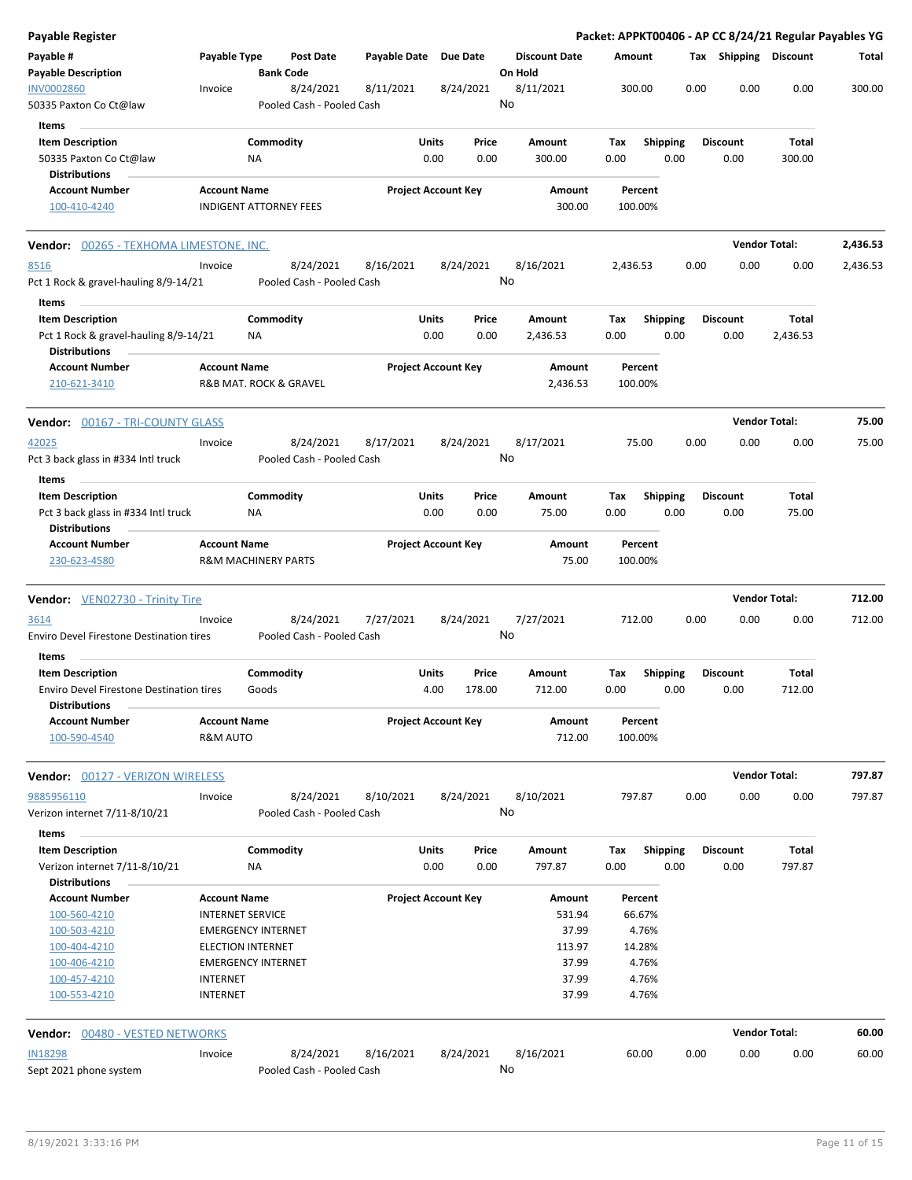| Payable Register                                                                         |                                 |                                |                                        |           |                            |                 |                                 |                    |                         |      |                         | Packet: APPKT00406 - AP CC 8/24/21 Regular Payables YG |                 |
|------------------------------------------------------------------------------------------|---------------------------------|--------------------------------|----------------------------------------|-----------|----------------------------|-----------------|---------------------------------|--------------------|-------------------------|------|-------------------------|--------------------------------------------------------|-----------------|
| Payable #<br><b>Payable Description</b>                                                  | Payable Type                    | <b>Bank Code</b>               | Post Date                              |           | Payable Date Due Date      |                 | <b>Discount Date</b><br>On Hold | Amount             |                         |      | Tax Shipping Discount   |                                                        | Total           |
| <b>INV0002860</b><br>50335 Paxton Co Ct@law                                              | Invoice                         |                                | 8/24/2021<br>Pooled Cash - Pooled Cash | 8/11/2021 | 8/24/2021                  | No              | 8/11/2021                       | 300.00             |                         | 0.00 | 0.00                    | 0.00                                                   | 300.00          |
| Items                                                                                    |                                 |                                |                                        |           |                            |                 |                                 |                    |                         |      |                         |                                                        |                 |
| <b>Item Description</b><br>50335 Paxton Co Ct@law                                        |                                 | Commodity<br>ΝA                |                                        |           | <b>Units</b><br>0.00       | Price<br>0.00   | Amount<br>300.00                | Tax<br>0.00        | <b>Shipping</b><br>0.00 |      | <b>Discount</b><br>0.00 | Total<br>300.00                                        |                 |
| <b>Distributions</b>                                                                     |                                 |                                |                                        |           |                            |                 |                                 |                    |                         |      |                         |                                                        |                 |
| <b>Account Number</b><br>100-410-4240                                                    | <b>Account Name</b>             | <b>INDIGENT ATTORNEY FEES</b>  |                                        |           | <b>Project Account Key</b> |                 | Amount<br>300.00                | Percent<br>100.00% |                         |      |                         |                                                        |                 |
| <b>Vendor: 00265 - TEXHOMA LIMESTONE, INC.</b>                                           |                                 |                                |                                        |           |                            |                 |                                 |                    |                         |      | <b>Vendor Total:</b>    |                                                        | 2,436.53        |
| 8516                                                                                     | Invoice                         |                                | 8/24/2021                              | 8/16/2021 | 8/24/2021                  |                 | 8/16/2021                       | 2,436.53           |                         | 0.00 | 0.00                    | 0.00                                                   | 2,436.53        |
| Pct 1 Rock & gravel-hauling 8/9-14/21                                                    |                                 |                                | Pooled Cash - Pooled Cash              |           |                            | No              |                                 |                    |                         |      |                         |                                                        |                 |
| Items                                                                                    |                                 | Commodity                      |                                        |           | Units                      | Price           | Amount                          | Tax                |                         |      | <b>Discount</b>         | Total                                                  |                 |
| <b>Item Description</b><br>Pct 1 Rock & gravel-hauling 8/9-14/21<br><b>Distributions</b> |                                 | NA                             |                                        |           | 0.00                       | 0.00            | 2,436.53                        | 0.00               | <b>Shipping</b><br>0.00 |      | 0.00                    | 2,436.53                                               |                 |
| <b>Account Number</b><br>210-621-3410                                                    | <b>Account Name</b>             | R&B MAT. ROCK & GRAVEL         |                                        |           | <b>Project Account Key</b> |                 | Amount<br>2,436.53              | Percent<br>100.00% |                         |      |                         |                                                        |                 |
| Vendor: 00167 - TRI-COUNTY GLASS                                                         |                                 |                                |                                        |           |                            |                 |                                 |                    |                         |      | <b>Vendor Total:</b>    |                                                        | 75.00           |
| 42025                                                                                    | Invoice                         |                                | 8/24/2021                              | 8/17/2021 | 8/24/2021                  |                 | 8/17/2021                       | 75.00              |                         | 0.00 | 0.00                    | 0.00                                                   | 75.00           |
| Pct 3 back glass in #334 Intl truck                                                      |                                 |                                | Pooled Cash - Pooled Cash              |           |                            | No              |                                 |                    |                         |      |                         |                                                        |                 |
| Items                                                                                    |                                 |                                |                                        |           |                            |                 |                                 |                    |                         |      |                         |                                                        |                 |
| <b>Item Description</b><br>Pct 3 back glass in #334 Intl truck<br><b>Distributions</b>   |                                 | Commodity<br>NA                |                                        |           | Units<br>0.00              | Price<br>0.00   | Amount<br>75.00                 | Tax<br>0.00        | <b>Shipping</b><br>0.00 |      | <b>Discount</b><br>0.00 | Total<br>75.00                                         |                 |
| <b>Account Number</b><br>230-623-4580                                                    | <b>Account Name</b>             | <b>R&amp;M MACHINERY PARTS</b> |                                        |           | <b>Project Account Key</b> |                 | Amount<br>75.00                 | Percent<br>100.00% |                         |      |                         |                                                        |                 |
| <b>Vendor:</b> VEN02730 - Trinity Tire                                                   |                                 |                                |                                        |           |                            |                 |                                 |                    |                         |      | <b>Vendor Total:</b>    |                                                        | 712.00          |
|                                                                                          |                                 |                                |                                        |           |                            |                 |                                 |                    |                         |      |                         |                                                        |                 |
| 3614                                                                                     | Invoice                         |                                | 8/24/2021                              | 7/27/2021 | 8/24/2021                  |                 | 7/27/2021                       | 712.00             |                         | 0.00 | 0.00                    | 0.00                                                   | 712.00          |
| <b>Enviro Devel Firestone Destination tires</b>                                          |                                 |                                | Pooled Cash - Pooled Cash              |           |                            | No              |                                 |                    |                         |      |                         |                                                        |                 |
| Items                                                                                    |                                 |                                |                                        |           |                            |                 |                                 |                    |                         |      |                         |                                                        |                 |
| <b>Item Description</b><br>Enviro Devel Firestone Destination tires                      |                                 | Commodity<br>Goods             |                                        |           | Units<br>4.00              | Price<br>178.00 | Amount<br>712.00                | Тах<br>0.00        | <b>Shipping</b><br>0.00 |      | <b>Discount</b><br>0.00 | Total<br>712.00                                        |                 |
| <b>Distributions</b><br><b>Account Number</b><br>100-590-4540                            | <b>Account Name</b><br>R&M AUTO |                                |                                        |           | <b>Project Account Key</b> |                 | Amount<br>712.00                | Percent<br>100.00% |                         |      |                         |                                                        |                 |
| Vendor: 00127 - VERIZON WIRELESS                                                         |                                 |                                |                                        |           |                            |                 |                                 |                    |                         |      | <b>Vendor Total:</b>    |                                                        |                 |
| 9885956110<br>Verizon internet 7/11-8/10/21                                              | Invoice                         |                                | 8/24/2021<br>Pooled Cash - Pooled Cash | 8/10/2021 | 8/24/2021                  | No              | 8/10/2021                       | 797.87             |                         | 0.00 | 0.00                    | 0.00                                                   | 797.87          |
| Items                                                                                    |                                 |                                |                                        |           |                            |                 |                                 |                    |                         |      |                         |                                                        |                 |
| <b>Item Description</b><br>Verizon internet 7/11-8/10/21                                 |                                 | Commodity<br>ΝA                |                                        |           | Units<br>0.00              | Price<br>0.00   | Amount<br>797.87                | Tax<br>0.00        | <b>Shipping</b><br>0.00 |      | <b>Discount</b><br>0.00 | Total<br>797.87                                        |                 |
| <b>Distributions</b><br><b>Account Number</b>                                            | <b>Account Name</b>             |                                |                                        |           | <b>Project Account Key</b> |                 | Amount                          | Percent            |                         |      |                         |                                                        |                 |
| 100-560-4210                                                                             |                                 | <b>INTERNET SERVICE</b>        |                                        |           |                            |                 | 531.94                          | 66.67%             |                         |      |                         |                                                        |                 |
| 100-503-4210                                                                             |                                 | <b>EMERGENCY INTERNET</b>      |                                        |           |                            |                 | 37.99                           | 4.76%              |                         |      |                         |                                                        |                 |
| 100-404-4210                                                                             |                                 | <b>ELECTION INTERNET</b>       |                                        |           |                            |                 | 113.97                          | 14.28%             |                         |      |                         |                                                        |                 |
| 100-406-4210<br>100-457-4210                                                             | <b>INTERNET</b>                 | <b>EMERGENCY INTERNET</b>      |                                        |           |                            |                 | 37.99<br>37.99                  | 4.76%<br>4.76%     |                         |      |                         |                                                        |                 |
| 100-553-4210                                                                             | <b>INTERNET</b>                 |                                |                                        |           |                            |                 | 37.99                           | 4.76%              |                         |      |                         |                                                        |                 |
| Vendor: 00480 - VESTED NETWORKS                                                          |                                 |                                |                                        |           |                            |                 |                                 |                    |                         |      | <b>Vendor Total:</b>    |                                                        | 60.00           |
| <b>IN18298</b><br>Sept 2021 phone system                                                 | Invoice                         |                                | 8/24/2021<br>Pooled Cash - Pooled Cash | 8/16/2021 | 8/24/2021                  | No              | 8/16/2021                       | 60.00              |                         | 0.00 | 0.00                    | 0.00                                                   | 797.87<br>60.00 |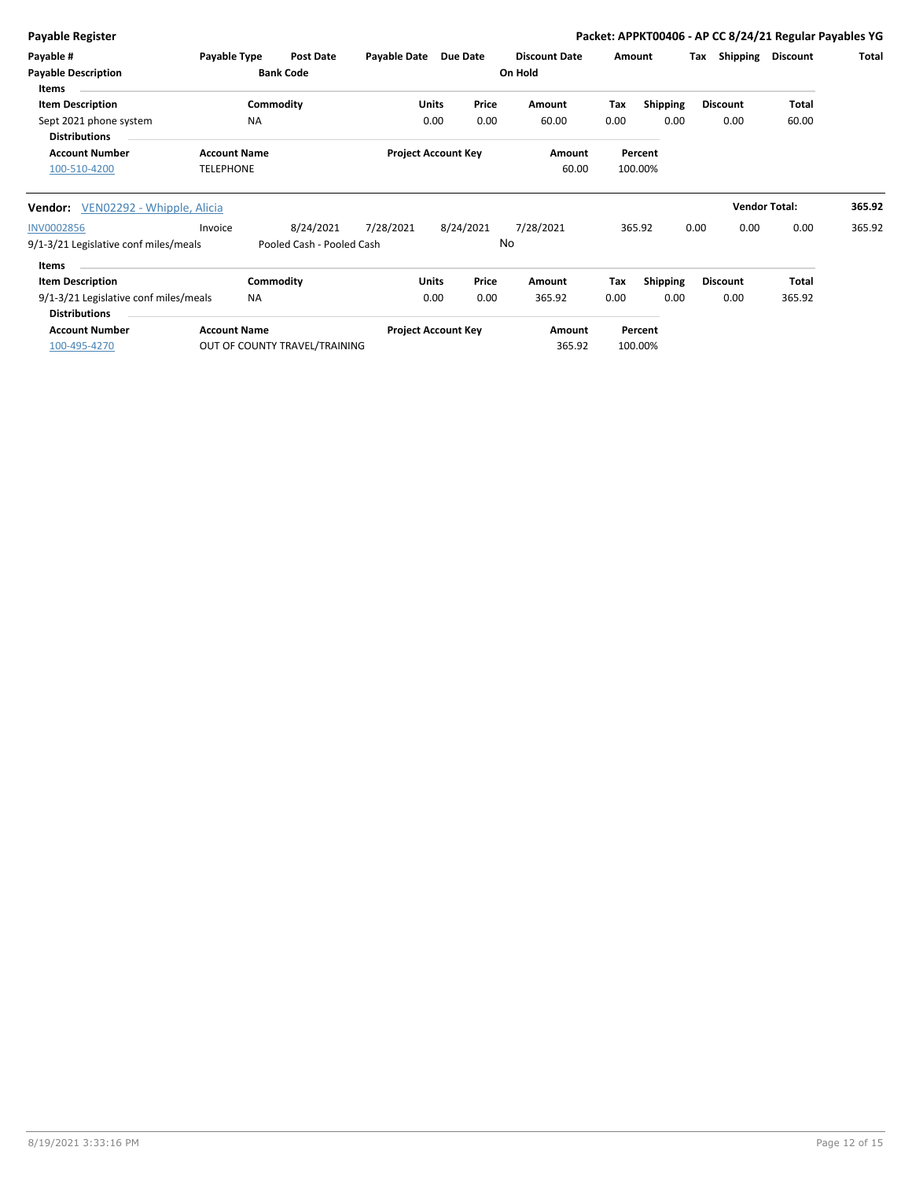| <b>Payable Register</b>                                                          |                                         |                                        |              |                                |                                 |             |                         | Packet: APPKT00406 - AP CC 8/24/21 Regular Payables YG |                      |        |
|----------------------------------------------------------------------------------|-----------------------------------------|----------------------------------------|--------------|--------------------------------|---------------------------------|-------------|-------------------------|--------------------------------------------------------|----------------------|--------|
| Payable #<br><b>Payable Description</b><br><b>Items</b>                          | Payable Type                            | <b>Post Date</b><br><b>Bank Code</b>   | Payable Date | <b>Due Date</b>                | <b>Discount Date</b><br>On Hold | Amount      |                         | Tax<br>Shipping                                        | <b>Discount</b>      | Total  |
| <b>Item Description</b><br>Sept 2021 phone system<br><b>Distributions</b>        |                                         | Commodity<br><b>NA</b>                 |              | Units<br>Price<br>0.00<br>0.00 | Amount<br>60.00                 | Tax<br>0.00 | <b>Shipping</b><br>0.00 | <b>Discount</b><br>0.00                                | Total<br>60.00       |        |
| <b>Account Number</b><br>100-510-4200                                            | <b>Account Name</b><br><b>TELEPHONE</b> |                                        |              | <b>Project Account Key</b>     | Amount<br>60.00                 |             | Percent<br>100.00%      |                                                        |                      |        |
| Vendor: VEN02292 - Whipple, Alicia                                               |                                         |                                        |              |                                |                                 |             |                         |                                                        | <b>Vendor Total:</b> | 365.92 |
| <b>INV0002856</b><br>9/1-3/21 Legislative conf miles/meals                       | Invoice                                 | 8/24/2021<br>Pooled Cash - Pooled Cash | 7/28/2021    | 8/24/2021                      | 7/28/2021<br>No                 | 365.92      |                         | 0.00<br>0.00                                           | 0.00                 | 365.92 |
| <b>Items</b><br><b>Item Description</b><br>9/1-3/21 Legislative conf miles/meals |                                         | Commodity<br><b>NA</b>                 |              | Price<br>Units<br>0.00<br>0.00 | Amount<br>365.92                | Tax<br>0.00 | <b>Shipping</b><br>0.00 | <b>Discount</b><br>0.00                                | Total<br>365.92      |        |
| <b>Distributions</b><br><b>Account Number</b><br>100-495-4270                    | <b>Account Name</b>                     | OUT OF COUNTY TRAVEL/TRAINING          |              | <b>Project Account Key</b>     | Amount<br>365.92                |             | Percent<br>100.00%      |                                                        |                      |        |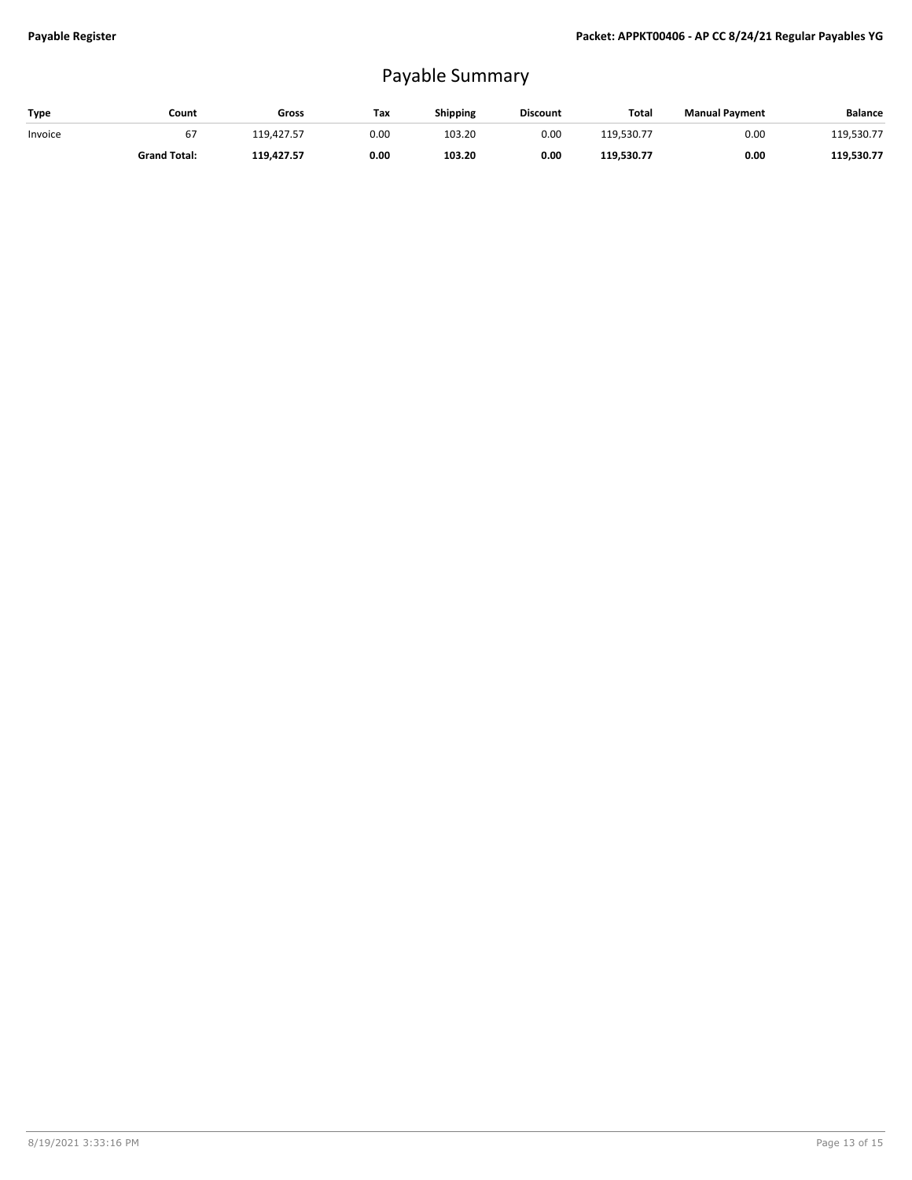## Payable Summary

| Type    | Count               | Gross      | Tax  | <b>Shipping</b> | <b>Discount</b> | <b>Tota</b> | <b>Manual Payment</b> | Balance    |
|---------|---------------------|------------|------|-----------------|-----------------|-------------|-----------------------|------------|
| Invoice | 67                  | 119.427.57 | 0.00 | 103.20          | 0.00            | 119.530.77  | 0.00                  | 119,530.77 |
|         | <b>Grand Total:</b> | 119.427.57 | 0.00 | 103.20          | 0.00            | 119,530.77  | 0.00                  | 119,530.77 |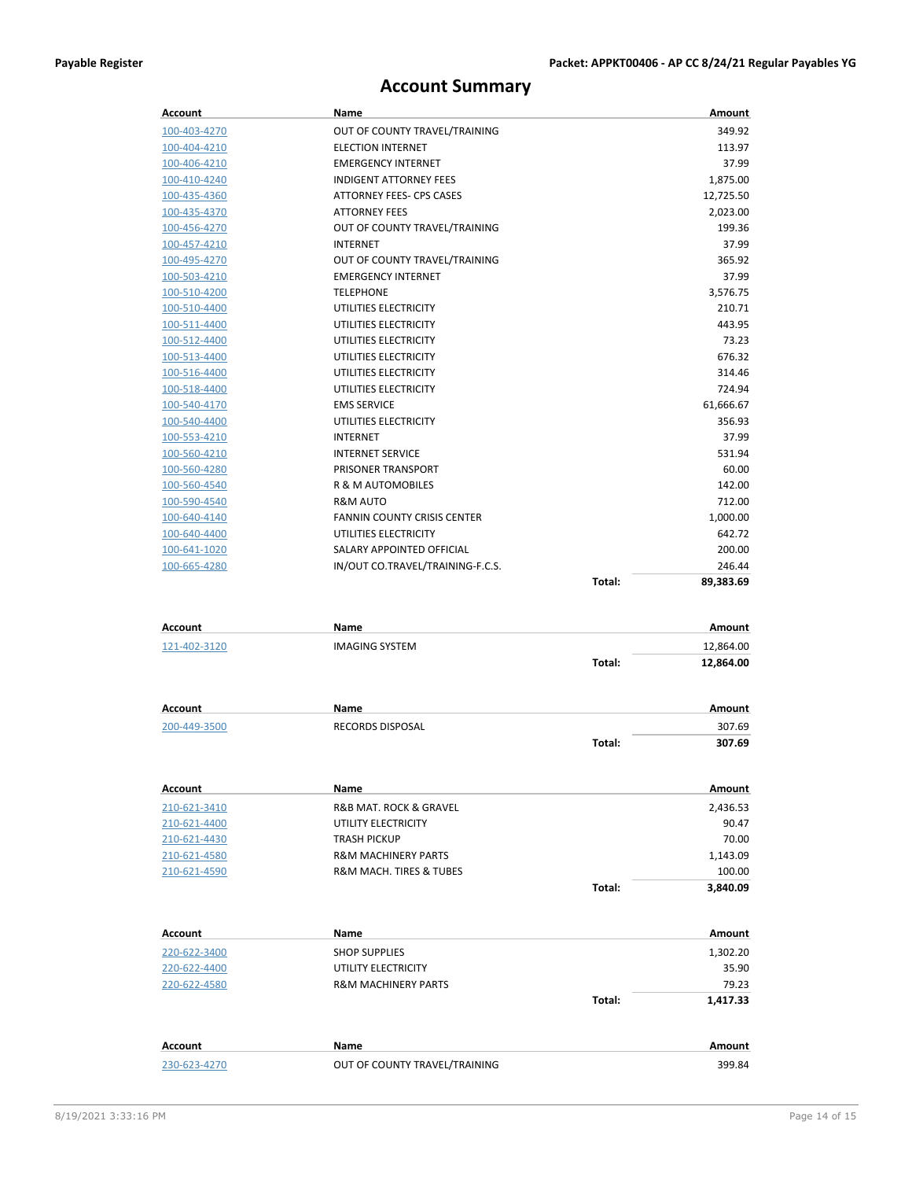## **Account Summary**

| Account             | Name                               |        | Amount    |
|---------------------|------------------------------------|--------|-----------|
| 100-403-4270        | OUT OF COUNTY TRAVEL/TRAINING      |        | 349.92    |
| 100-404-4210        | <b>ELECTION INTERNET</b>           |        | 113.97    |
| 100-406-4210        | <b>EMERGENCY INTERNET</b>          |        | 37.99     |
| 100-410-4240        | <b>INDIGENT ATTORNEY FEES</b>      |        | 1,875.00  |
| 100-435-4360        | ATTORNEY FEES- CPS CASES           |        | 12,725.50 |
| 100-435-4370        | <b>ATTORNEY FEES</b>               |        | 2,023.00  |
| 100-456-4270        | OUT OF COUNTY TRAVEL/TRAINING      |        | 199.36    |
| 100-457-4210        | <b>INTERNET</b>                    |        | 37.99     |
| 100-495-4270        | OUT OF COUNTY TRAVEL/TRAINING      |        | 365.92    |
| 100-503-4210        | <b>EMERGENCY INTERNET</b>          |        | 37.99     |
| 100-510-4200        | <b>TELEPHONE</b>                   |        | 3,576.75  |
| 100-510-4400        | UTILITIES ELECTRICITY              |        | 210.71    |
| 100-511-4400        | UTILITIES ELECTRICITY              |        | 443.95    |
| 100-512-4400        | UTILITIES ELECTRICITY              |        | 73.23     |
| 100-513-4400        | UTILITIES ELECTRICITY              |        | 676.32    |
| 100-516-4400        | UTILITIES ELECTRICITY              |        | 314.46    |
| 100-518-4400        | UTILITIES ELECTRICITY              |        | 724.94    |
| 100-540-4170        | <b>EMS SERVICE</b>                 |        | 61,666.67 |
| 100-540-4400        | UTILITIES ELECTRICITY              |        | 356.93    |
| 100-553-4210        | <b>INTERNET</b>                    |        | 37.99     |
| 100-560-4210        | <b>INTERNET SERVICE</b>            |        | 531.94    |
| 100-560-4280        | PRISONER TRANSPORT                 |        | 60.00     |
| 100-560-4540        | <b>R &amp; M AUTOMOBILES</b>       |        | 142.00    |
| 100-590-4540        | R&M AUTO                           |        | 712.00    |
| 100-640-4140        | <b>FANNIN COUNTY CRISIS CENTER</b> |        | 1,000.00  |
| 100-640-4400        | UTILITIES ELECTRICITY              |        | 642.72    |
| 100-641-1020        | SALARY APPOINTED OFFICIAL          |        | 200.00    |
| 100-665-4280        | IN/OUT CO.TRAVEL/TRAINING-F.C.S.   |        | 246.44    |
|                     |                                    | Total: | 89,383.69 |
|                     |                                    |        |           |
|                     |                                    |        |           |
| Account             | Name                               |        | Amount    |
| 121-402-3120        | <b>IMAGING SYSTEM</b>              |        | 12,864.00 |
|                     |                                    | Total: | 12,864.00 |
|                     |                                    |        |           |
|                     |                                    |        |           |
| Account             | Name                               |        | Amount    |
| 200-449-3500        | RECORDS DISPOSAL                   |        | 307.69    |
|                     |                                    | Total: | 307.69    |
|                     |                                    |        |           |
|                     | Name                               |        |           |
| Account             |                                    |        | Amount    |
| 210-621-3410        | R&B MAT. ROCK & GRAVEL             |        | 2,436.53  |
| 210-621-4400        | UTILITY ELECTRICITY                |        | 90.47     |
| 210-621-4430        | <b>TRASH PICKUP</b>                |        | 70.00     |
| <u>210-621-4580</u> | R&M MACHINERY PARTS                |        | 1,143.09  |
| 210-621-4590        | R&M MACH. TIRES & TUBES            |        | 100.00    |
|                     |                                    | Total: | 3,840.09  |
|                     |                                    |        |           |
| Account             | Name                               |        | Amount    |
| 220-622-3400        | <b>SHOP SUPPLIES</b>               |        | 1,302.20  |
| 220-622-4400        | UTILITY ELECTRICITY                |        | 35.90     |
| <u>220-622-4580</u> | R&M MACHINERY PARTS                |        | 79.23     |
|                     |                                    | Total: | 1,417.33  |
|                     |                                    |        |           |
| Account             | Name                               |        | Amount    |